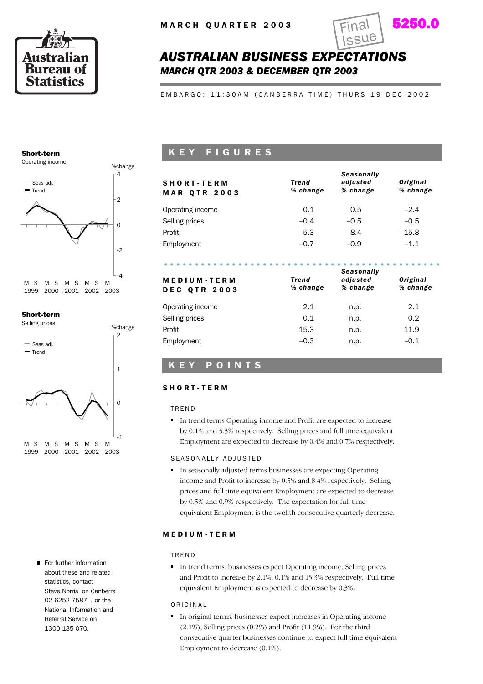



## *AUSTRALIAN BUSINESS EXPECTATIONS MARCH QTR 2003 & DECEMBER QTR 2003*

EMBARGO: 11:30AM (CANBERRA TIME) THURS 19 DEC 2002

#### Short-term



#### Short-term



For further information about these and related statistics, contact Steve Norris on Canberra 02 6252 7587 , or the National Information and Referral Service on 1300 135 070.

### K E Y F I G U R E S

| <b>SHORT-TERM</b><br><b>MAR QTR 2003</b> | Trend<br>% change | <b>Seasonally</b><br>adjusted<br>% change | Original<br>% change |
|------------------------------------------|-------------------|-------------------------------------------|----------------------|
| Operating income                         | 0.1               | 0.5                                       | $-2.4$               |
| Selling prices                           | $-0.4$            | $-0.5$                                    | $-0.5$               |
| Profit                                   | 5.3               | 8.4                                       | $-15.8$              |
| Employment                               | $-0.7$            | $-0.9$                                    | $-1.1$               |
|                                          |                   | <b>Seasonally</b>                         |                      |

| Trend<br>% change | adjusted<br>% change | Original<br>% change |
|-------------------|----------------------|----------------------|
| 2.1               | n.p.                 | 2.1                  |
| 0.1               | n.p.                 | 0.2                  |
| 15.3              | n.p.                 | 11.9                 |
| $-0.3$            | n.p.                 | $-0.1$               |
|                   |                      | ----------           |

#### K E Y P O I N T S

#### S H O R T - T E R M

#### T R E N D

In trend terms Operating income and Profit are expected to increase by 0.1% and 5.3% respectively. Selling prices and full time equivalent Employment are expected to decrease by 0.4% and 0.7% respectively.

#### SEASONALLY ADJUSTED

In seasonally adjusted terms businesses are expecting Operating income and Profit to increase by 0.5% and 8.4% respectively. Selling prices and full time equivalent Employment are expected to decrease by 0.5% and 0.9% respectively. The expectation for full time equivalent Employment is the twelfth consecutive quarterly decrease.

#### M E D I U M - T E R M

#### T R E N D

In trend terms, businesses expect Operating income, Selling prices and Profit to increase by 2.1%, 0.1% and 15.3% respectively. Full time equivalent Employment is expected to decrease by 0.3%.

#### O R I G I N A L

In original terms, businesses expect increases in Operating income (2.1%), Selling prices (0.2%) and Profit (11.9%). For the third consecutive quarter businesses continue to expect full time equivalent Employment to decrease (0.1%).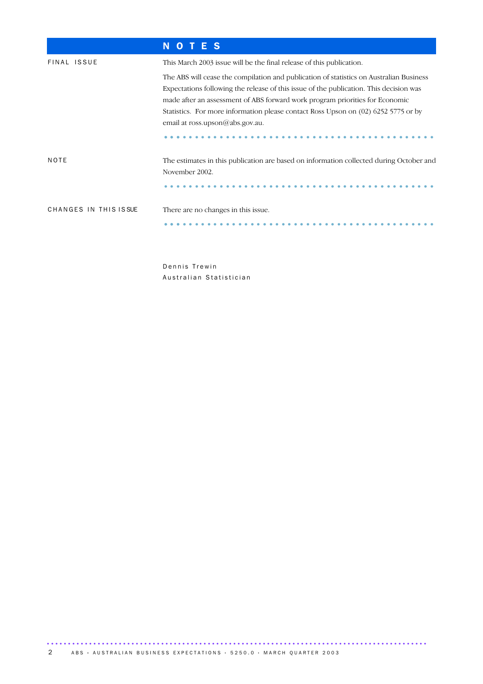|                        | TES<br>N<br>$\mathbf{O}$                                                                                                                                                                                                                                                                                                                                                                   |
|------------------------|--------------------------------------------------------------------------------------------------------------------------------------------------------------------------------------------------------------------------------------------------------------------------------------------------------------------------------------------------------------------------------------------|
| FINAL ISSUE            | This March 2003 issue will be the final release of this publication.                                                                                                                                                                                                                                                                                                                       |
|                        | The ABS will cease the compilation and publication of statistics on Australian Business<br>Expectations following the release of this issue of the publication. This decision was<br>made after an assessment of ABS forward work program priorities for Economic<br>Statistics. For more information please contact Ross Upson on (02) 6252 5775 or by<br>email at ross.upson@abs.gov.au. |
| NOTE                   | The estimates in this publication are based on information collected during October and<br>November 2002.                                                                                                                                                                                                                                                                                  |
| CHANGES IN THIS IS SUE | There are no changes in this issue.                                                                                                                                                                                                                                                                                                                                                        |

Dennis Trewin Australian Statistician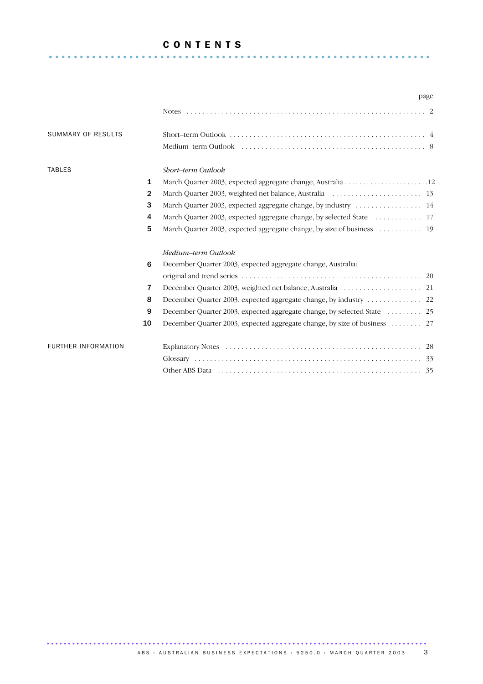#### C O N T E N T S .............................................................. .

|                            |                |                                                                          | page |
|----------------------------|----------------|--------------------------------------------------------------------------|------|
|                            |                |                                                                          |      |
| SUMMARY OF RESULTS         |                |                                                                          |      |
|                            |                |                                                                          |      |
| <b>TABLES</b>              |                | Short-term Outlook                                                       |      |
|                            | 1              |                                                                          |      |
|                            | $\mathbf{2}$   |                                                                          |      |
|                            | 3              | March Quarter 2003, expected aggregate change, by industry  14           |      |
|                            | 4              | March Quarter 2003, expected aggregate change, by selected State  17     |      |
|                            | 5              | March Quarter 2003, expected aggregate change, by size of business  19   |      |
|                            |                | Medium-term Outlook                                                      |      |
|                            | 6              | December Quarter 2003, expected aggregate change, Australia:             |      |
|                            |                |                                                                          |      |
|                            | $\overline{7}$ |                                                                          |      |
|                            | 8              | December Quarter 2003, expected aggregate change, by industry 22         |      |
|                            | 9              | December Quarter 2003, expected aggregate change, by selected State  25  |      |
|                            | 10             | December Quarter 2003, expected aggregate change, by size of business 27 |      |
| <b>FURTHER INFORMATION</b> |                |                                                                          |      |
|                            |                |                                                                          |      |
|                            |                |                                                                          |      |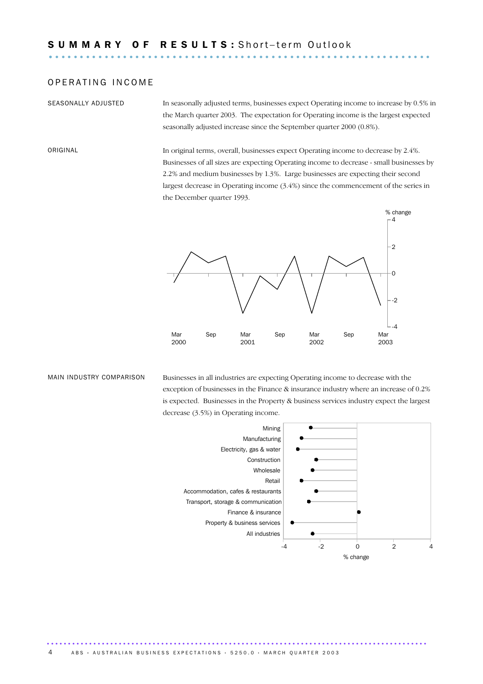#### OPERATING INCOME

SEASONALLY ADJUSTED In seasonally adjusted terms, businesses expect Operating income to increase by 0.5% in the March quarter 2003. The expectation for Operating income is the largest expected seasonally adjusted increase since the September quarter 2000 (0.8%).

ORIGINAL In original terms, overall, businesses expect Operating income to decrease by 2.4%. Businesses of all sizes are expecting Operating income to decrease - small businesses by 2.2% and medium businesses by 1.3%. Large businesses are expecting their second largest decrease in Operating income (3.4%) since the commencement of the series in the December quarter 1993.



MAIN INDUSTRY COMPARISON Businesses in all industries are expecting Operating income to decrease with the exception of businesses in the Finance & insurance industry where an increase of 0.2% is expected. Businesses in the Property & business services industry expect the largest decrease (3.5%) in Operating income.



.......................................................................................... 4 ABS • AUSTRALIAN BUSINESS EXPECTATIONS • 5250.0 • MARCH QUARTER 2003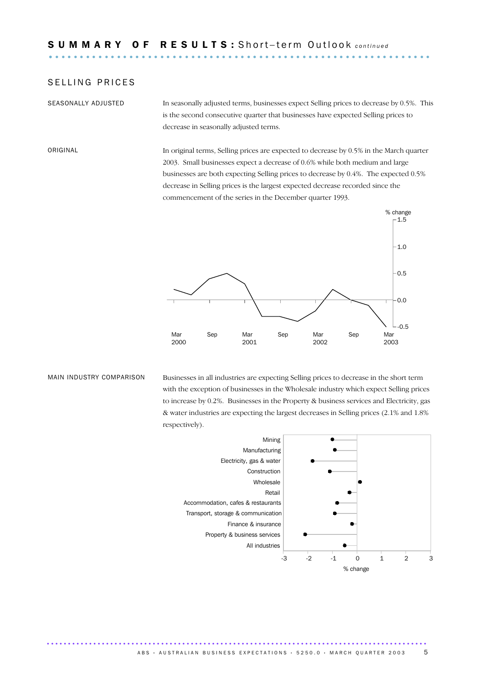#### SELLING PRICES

SEASONALLY ADJUSTED In seasonally adjusted terms, businesses expect Selling prices to decrease by 0.5%. This is the second consecutive quarter that businesses have expected Selling prices to decrease in seasonally adjusted terms.

ORIGINAL In original terms, Selling prices are expected to decrease by 0.5% in the March quarter 2003. Small businesses expect a decrease of 0.6% while both medium and large businesses are both expecting Selling prices to decrease by 0.4%. The expected 0.5% decrease in Selling prices is the largest expected decrease recorded since the commencement of the series in the December quarter 1993.



MAIN INDUSTRY COMPARISON Businesses in all industries are expecting Selling prices to decrease in the short term with the exception of businesses in the Wholesale industry which expect Selling prices to increase by 0.2%. Businesses in the Property & business services and Electricity, gas & water industries are expecting the largest decreases in Selling prices (2.1% and 1.8% respectively).

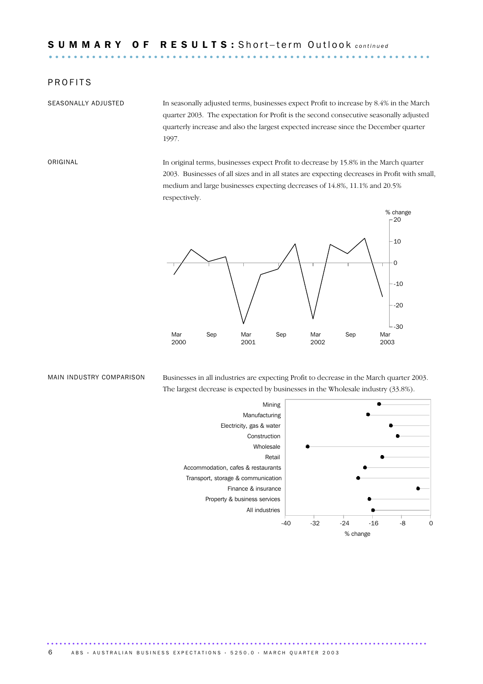#### **PROFITS**

SEASONALLY ADJUSTED In seasonally adjusted terms, businesses expect Profit to increase by 8.4% in the March quarter 2003. The expectation for Profit is the second consecutive seasonally adjusted quarterly increase and also the largest expected increase since the December quarter 1997.

ORIGINAL In original terms, businesses expect Profit to decrease by 15.8% in the March quarter 2003. Businesses of all sizes and in all states are expecting decreases in Profit with small, medium and large businesses expecting decreases of 14.8%, 11.1% and 20.5% respectively.



MAIN INDUSTRY COMPARISON Businesses in all industries are expecting Profit to decrease in the March quarter 2003. The largest decrease is expected by businesses in the Wholesale industry (33.8%).

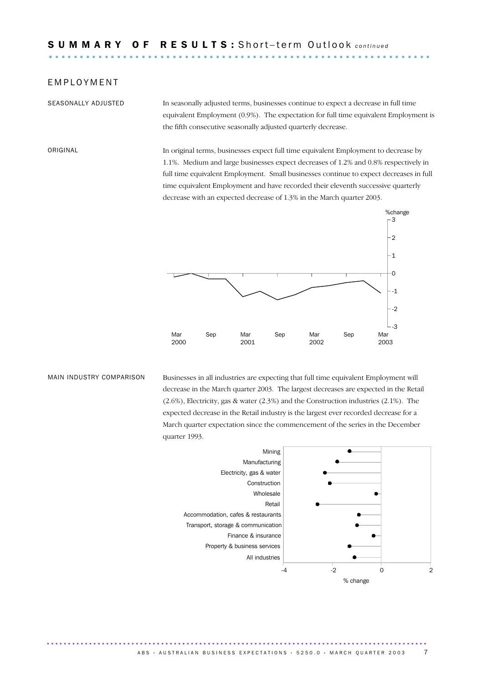#### E M P L O Y M E N T

SEASONALLY ADJUSTED In seasonally adjusted terms, businesses continue to expect a decrease in full time equivalent Employment (0.9%). The expectation for full time equivalent Employment is the fifth consecutive seasonally adjusted quarterly decrease.

ORIGINAL In original terms, businesses expect full time equivalent Employment to decrease by 1.1%. Medium and large businesses expect decreases of 1.2% and 0.8% respectively in full time equivalent Employment. Small businesses continue to expect decreases in full time equivalent Employment and have recorded their eleventh successive quarterly decrease with an expected decrease of 1.3% in the March quarter 2003.



MAIN INDUSTRY COMPARISON Businesses in all industries are expecting that full time equivalent Employment will decrease in the March quarter 2003. The largest decreases are expected in the Retail (2.6%), Electricity, gas & water (2.3%) and the Construction industries (2.1%). The expected decrease in the Retail industry is the largest ever recorded decrease for a March quarter expectation since the commencement of the series in the December quarter 1993.

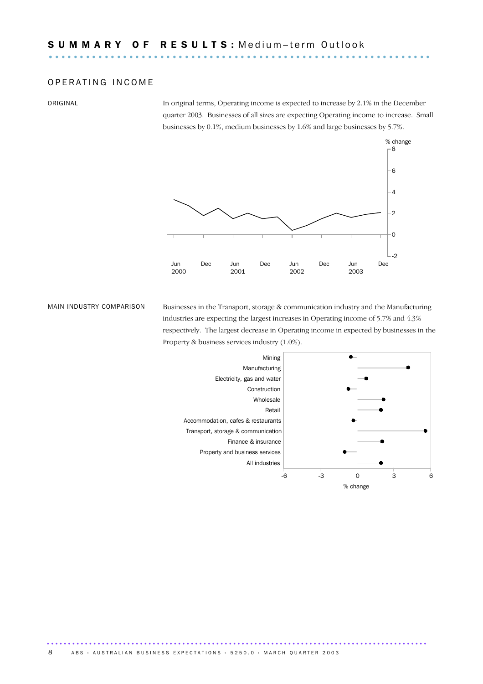#### OPERATING INCOME

ORIGINAL In original terms, Operating income is expected to increase by 2.1% in the December quarter 2003. Businesses of all sizes are expecting Operating income to increase. Small businesses by 0.1%, medium businesses by 1.6% and large businesses by 5.7%.



MAIN INDUSTRY COMPARISON Businesses in the Transport, storage & communication industry and the Manufacturing industries are expecting the largest increases in Operating income of 5.7% and 4.3% respectively. The largest decrease in Operating income in expected by businesses in the Property & business services industry (1.0%).

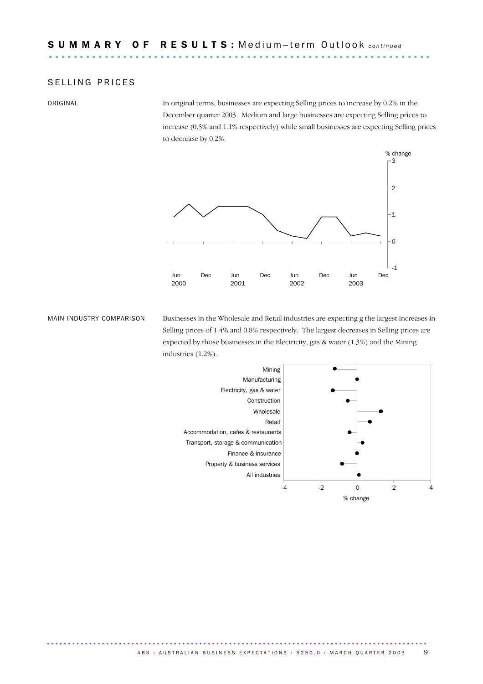#### SELLING PRICES

ORIGINAL In original terms, businesses are expecting Selling prices to increase by 0.2% in the December quarter 2003. Medium and large businesses are expecting Selling prices to increase (0.5% and 1.1% respectively) while small businesses are expecting Selling prices to decrease by 0.2%.



MAIN INDUSTRY COMPARISON Businesses in the Wholesale and Retail industries are expecting g the largest increases in Selling prices of 1.4% and 0.8% respectively. The largest decreases in Selling prices are expected by those businesses in the Electricity, gas & water (1.3%) and the Mining industries (1.2%).

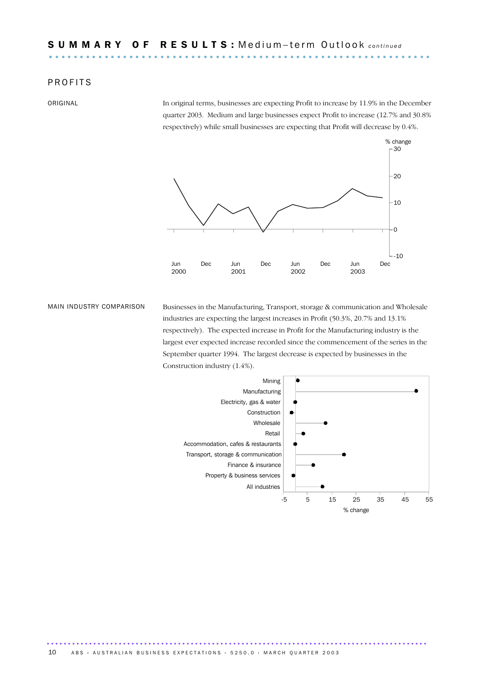#### **PROFITS**

ORIGINAL In original terms, businesses are expecting Profit to increase by 11.9% in the December quarter 2003. Medium and large businesses expect Profit to increase (12.7% and 30.8% respectively) while small businesses are expecting that Profit will decrease by 0.4%.



MAIN INDUSTRY COMPARISON Businesses in the Manufacturing, Transport, storage & communication and Wholesale industries are expecting the largest increases in Profit (50.3%, 20.7% and 13.1% respectively). The expected increase in Profit for the Manufacturing industry is the largest ever expected increase recorded since the commencement of the series in the September quarter 1994. The largest decrease is expected by businesses in the Construction industry (1.4%).

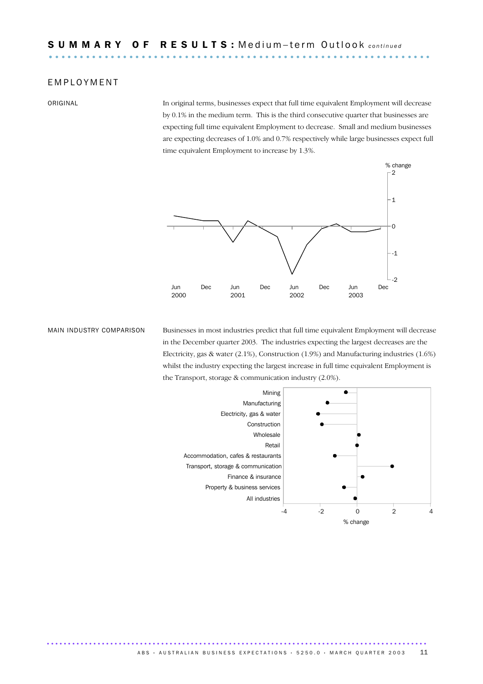#### E M P L O Y M E N T

ORIGINAL In original terms, businesses expect that full time equivalent Employment will decrease by 0.1% in the medium term. This is the third consecutive quarter that businesses are expecting full time equivalent Employment to decrease. Small and medium businesses are expecting decreases of 1.0% and 0.7% respectively while large businesses expect full time equivalent Employment to increase by 1.3%.



MAIN INDUSTRY COMPARISON Businesses in most industries predict that full time equivalent Employment will decrease in the December quarter 2003. The industries expecting the largest decreases are the Electricity, gas & water (2.1%), Construction (1.9%) and Manufacturing industries (1.6%) whilst the industry expecting the largest increase in full time equivalent Employment is the Transport, storage & communication industry (2.0%).

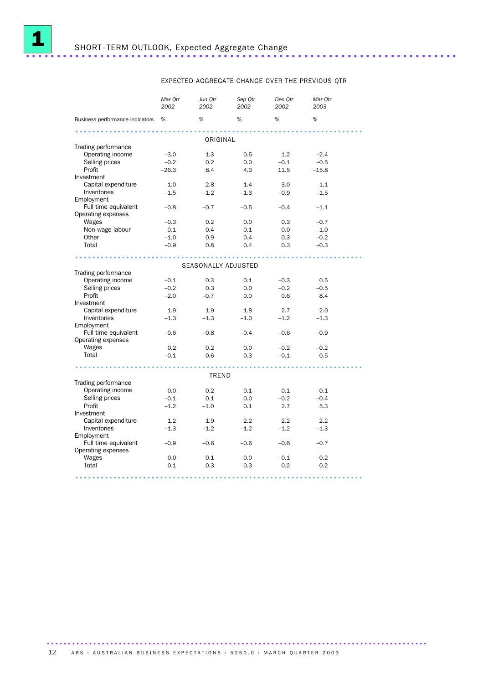

# SHORT–TERM OUTLOOK, Expected Aggregate Change ......................................................................

#### EXPECTED AGGREGATE CHANGE OVER THE PREVIOUS QTR

|                                 | Mar Qtr<br>2002 | Jun Otr<br>2002 | Sep Qtr<br>2002 | Dec Qtr<br>2002 | Mar Qtr<br>2003 |  |  |
|---------------------------------|-----------------|-----------------|-----------------|-----------------|-----------------|--|--|
| Business performance indicators | %               | %               | %               | %               | %               |  |  |
|                                 |                 | ORIGINAL        |                 |                 |                 |  |  |
| Trading performance             |                 |                 |                 |                 |                 |  |  |
| Operating income                | $-3.0$          | 1.3             | 0.5             | 1.2             | $-2.4$          |  |  |
| Selling prices                  | $-0.2$          | 0.2             | 0.0             | $-0.1$          | $-0.5$          |  |  |
| Profit                          | $-26.3$         | 8.4             | 4.3             | 11.5            | $-15.8$         |  |  |
| Investment                      |                 |                 |                 |                 |                 |  |  |
| Capital expenditure             | 1.0             | 2.8             | 1.4             | 3.0             | 1.1             |  |  |
| Inventories                     | $-1.5$          | $-1.2$          | $-1.3$          | $-0.9$          | $-1.5$          |  |  |
| Employment                      |                 |                 |                 |                 |                 |  |  |
| Full time equivalent            | $-0.8$          | $-0.7$          | $-0.5$          | $-0.4$          | $-1.1$          |  |  |
| Operating expenses              |                 |                 |                 |                 |                 |  |  |
| Wages                           | $-0.3$          | 0.2             | 0.0             | 0.3             | $-0.7$          |  |  |
| Non-wage labour                 | $-0.1$          | 0.4             | 0.1             | 0.0             | $-1.0$          |  |  |
| Other                           | $-1.0$          | 0.9             | 0.4             | 0.3             | $-0.2$          |  |  |
| Total                           | $-0.9$          | 0.8             | 0.4             | 0.3             | $-0.3$          |  |  |
|                                 |                 |                 |                 |                 |                 |  |  |
| SEASONALLY ADJUSTED             |                 |                 |                 |                 |                 |  |  |
| Trading performance             |                 |                 |                 |                 |                 |  |  |
| Operating income                | $-0.1$          | 0.3             | 0.1             | $-0.3$          | 0.5             |  |  |
| Selling prices                  | $-0.2$          | 0.3             | 0.0             | $-0.2$          | $-0.5$          |  |  |
| Profit                          | $-2.0$          | $-0.7$          | 0.0             | 0.6             | 8.4             |  |  |
| Investment                      |                 |                 |                 |                 |                 |  |  |
| Capital expenditure             | 1.9             | 1.9             | 1.8             | 2.7             | 2.0             |  |  |
| Inventories                     | $-1.3$          | $-1.3$          | $-1.0$          | $-1.2$          | $-1.3$          |  |  |
| Employment                      |                 |                 |                 |                 |                 |  |  |
| Full time equivalent            | $-0.6$          | $-0.8$          | $-0.4$          | $-0.6$          | $-0.9$          |  |  |
| Operating expenses              |                 |                 |                 |                 |                 |  |  |
| Wages                           | 0.2             | 0.2             | 0.0             | $-0.2$          | $-0.2$          |  |  |
| Total                           | $-0.1$          | 0.6             | 0.3             | $-0.1$          | 0.5             |  |  |
|                                 |                 |                 |                 |                 |                 |  |  |
|                                 |                 |                 |                 |                 |                 |  |  |
| TREND                           |                 |                 |                 |                 |                 |  |  |
| Trading performance             |                 |                 |                 |                 |                 |  |  |
| Operating income                | 0.0             | 0.2             | 0.1             | 0.1             | 0.1             |  |  |
| Selling prices                  | $-0.1$          | 0.1             | 0.0             | $-0.2$          | $-0.4$          |  |  |
| Profit                          | $-1.2$          | $-1.0$          | 0.1             | 2.7             | 5.3             |  |  |
| Investment                      |                 |                 |                 |                 |                 |  |  |
| Capital expenditure             | 1.2             | 1.9             | 2.2             | 2.2             | 2.2             |  |  |
| Inventories                     | $-1.3$          | $-1.2$          | $-1.2$          | $-1.2$          | $-1.3$          |  |  |
| Employment                      |                 |                 |                 |                 |                 |  |  |
| Full time equivalent            | $-0.9$          | $-0.6$          | $-0.6$          | $-0.6$          | $-0.7$          |  |  |
| Operating expenses              |                 |                 |                 |                 |                 |  |  |
| Wages                           | 0.0             | 0.1             | 0.0             | $-0.1$          | $-0.2$          |  |  |
| Total                           | 0.1             | 0.3             | 0.3             | 0.2             | 0.2             |  |  |
|                                 |                 |                 |                 |                 |                 |  |  |

12 ABS · AUSTRALIAN BUSINESS EXPECTATIONS · 5250.0 · MARCH QUARTER 2003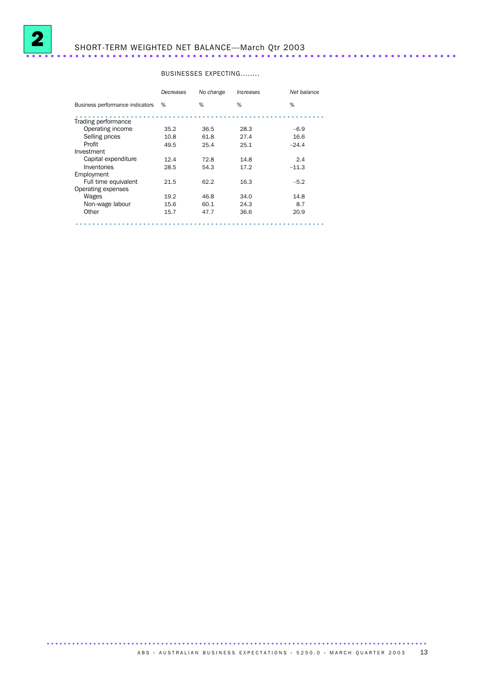

# SHORT-TERM WEIGHTED NET BALANCE—March Qtr 2003 ......................................................................

#### BUSINESSES EXPECTING........

|                                 | Decreases | No change | <i><b>Increases</b></i> | Net balance |
|---------------------------------|-----------|-----------|-------------------------|-------------|
| Business performance indicators | %         | %         | %                       | %           |
| Trading performance             |           |           |                         |             |
| Operating income                | 35.2      | 36.5      | 28.3                    | $-6.9$      |
| Selling prices                  | 10.8      | 61.8      | 27.4                    | 16.6        |
| Profit                          | 49.5      | 25.4      | 25.1                    | $-24.4$     |
| Investment                      |           |           |                         |             |
| Capital expenditure             | 12.4      | 72.8      | 14.8                    | 2.4         |
| Inventories                     | 28.5      | 54.3      | 17.2                    | $-11.3$     |
| Employment                      |           |           |                         |             |
| Full time equivalent            | 21.5      | 62.2      | 16.3                    | $-5.2$      |
| Operating expenses              |           |           |                         |             |
| Wages                           | 19.2      | 46.8      | 34.0                    | 14.8        |
| Non-wage labour                 | 15.6      | 60.1      | 24.3                    | 8.7         |
| Other                           | 15.7      | 47.7      | 36.6                    | 20.9        |
|                                 |           |           |                         |             |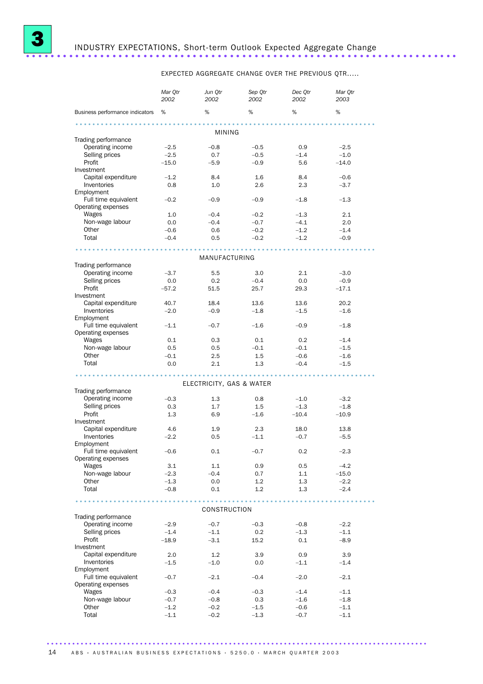

# INDUSTRY EXPECTATIONS, Short-term Outlook Expected Aggregate Change ......................................................................

EXPECTED AGGREGATE CHANGE OVER THE PREVIOUS QTR.....

|                                         | Mar Qtr<br>2002 | Jun Qtr<br>2002          | Sep Qtr<br>2002 | Dec Qtr<br>2002 | Mar Qtr<br>2003 |  |  |  |
|-----------------------------------------|-----------------|--------------------------|-----------------|-----------------|-----------------|--|--|--|
| Business performance indicators         | %               | %                        | %               | %               | %               |  |  |  |
| <b>MINING</b>                           |                 |                          |                 |                 |                 |  |  |  |
| Trading performance                     |                 |                          |                 |                 |                 |  |  |  |
| Operating income                        | $-2.5$          | $-0.8$                   | $-0.5$          | 0.9             | $-2.5$          |  |  |  |
| Selling prices                          | $-2.5$          | 0.7                      | $-0.5$          | $-1.4$          | $-1.0$          |  |  |  |
| Profit                                  | $-15.0$         | $-5.9$                   | $-0.9$          | 5.6             | $-14.0$         |  |  |  |
| Investment                              |                 |                          |                 |                 |                 |  |  |  |
| Capital expenditure                     | $-1.2$          | 8.4                      | 1.6             | 8.4             | $-0.6$          |  |  |  |
| Inventories                             | 0.8             | 1.0                      | 2.6             | 2.3             | $-3.7$          |  |  |  |
| Employment                              |                 |                          |                 |                 |                 |  |  |  |
| Full time equivalent                    | $-0.2$          | $-0.9$                   | $-0.9$          | $-1.8$          | $-1.3$          |  |  |  |
| Operating expenses                      |                 |                          |                 |                 |                 |  |  |  |
| Wages                                   | 1.0             | $-0.4$                   | $-0.2$          | $-1.3$          | 2.1             |  |  |  |
| Non-wage labour                         | 0.0             | $-0.4$                   | $-0.7$          | $-4.1$          | 2.0             |  |  |  |
| Other                                   | $-0.6$          | 0.6                      | $-0.2$          | $-1.2$          | $-1.4$          |  |  |  |
| Total                                   | $-0.4$          | 0.5                      | $-0.2$          | $-1.2$          | $-0.9$          |  |  |  |
|                                         |                 |                          |                 |                 |                 |  |  |  |
|                                         |                 | MANUFACTURING            |                 |                 |                 |  |  |  |
| Trading performance<br>Operating income | $-3.7$          | 5.5                      | 3.0             | 2.1             | $-3.0$          |  |  |  |
| Selling prices                          |                 | 0.2                      |                 |                 | $-0.9$          |  |  |  |
| Profit                                  | 0.0             |                          | $-0.4$          | 0.0             |                 |  |  |  |
| Investment                              | $-57.2$         | 51.5                     | 25.7            | 29.3            | $-17.1$         |  |  |  |
| Capital expenditure                     | 40.7            | 18.4                     | 13.6            | 13.6            | 20.2            |  |  |  |
| Inventories                             | $-2.0$          | $-0.9$                   | $-1.8$          | $-1.5$          | $-1.6$          |  |  |  |
| Employment                              |                 |                          |                 |                 |                 |  |  |  |
| Full time equivalent                    | $-1.1$          | $-0.7$                   | $-1.6$          | $-0.9$          | $-1.8$          |  |  |  |
| Operating expenses                      |                 |                          |                 |                 |                 |  |  |  |
| Wages                                   | 0.1             | 0.3                      | 0.1             | 0.2             | $-1.4$          |  |  |  |
| Non-wage labour                         | 0.5             | 0.5                      | $-0.1$          | $-0.1$          | $-1.5$          |  |  |  |
| Other                                   | $-0.1$          | 2.5                      | 1.5             | $-0.6$          | $-1.6$          |  |  |  |
| Total                                   | 0.0             | 2.1                      | 1.3             | $-0.4$          | $-1.5$          |  |  |  |
|                                         |                 |                          |                 |                 |                 |  |  |  |
|                                         |                 |                          |                 |                 |                 |  |  |  |
|                                         |                 | ELECTRICITY, GAS & WATER |                 |                 |                 |  |  |  |
| Trading performance<br>Operating income | $-0.3$          | 1.3                      | 0.8             | $-1.0$          | $-3.2$          |  |  |  |
| Selling prices                          | 0.3             | 1.7                      | $1.5\,$         | $-1.3$          | $-1.8$          |  |  |  |
| Profit                                  | 1.3             | 6.9                      | $-1.6$          | $-10.4$         | $-10.9$         |  |  |  |
| Investment                              |                 |                          |                 |                 |                 |  |  |  |
| Capital expenditure                     | 4.6             | 1.9                      | 2.3             | 18.0            | 13.8            |  |  |  |
| Inventories                             | $-2.2$          | 0.5                      | $-1.1$          | $-0.7$          | $-5.5$          |  |  |  |
| Employment                              |                 |                          |                 |                 |                 |  |  |  |
| Full time equivalent                    | $-0.6$          | 0.1                      | $-0.7$          | $0.2\,$         | $-2.3$          |  |  |  |
| Operating expenses                      |                 |                          |                 |                 |                 |  |  |  |
| Wages                                   | 3.1             | 1.1                      | 0.9             | 0.5             | $-4.2$          |  |  |  |
| Non-wage labour                         | $-2.3$          | $-0.4$                   | 0.7             | 1.1             | $-15.0$         |  |  |  |
| Other                                   | $-1.3$          | 0.0                      | 1.2             | 1.3             | $-2.2$          |  |  |  |
| Total                                   | $-0.8$          | 0.1                      | 1.2             | 1.3             | $-2.4$          |  |  |  |
| .                                       |                 |                          |                 |                 |                 |  |  |  |
|                                         |                 | CONSTRUCTION             |                 |                 |                 |  |  |  |
| Trading performance                     |                 |                          |                 |                 |                 |  |  |  |
| Operating income                        | $-2.9$          | $-0.7$                   | $-0.3$          | $-0.8$          | $-2.2$          |  |  |  |
| Selling prices                          | $-1.4$          | $-1.1$                   | 0.2             | $-1.3$          | $-1.1$          |  |  |  |
| Profit                                  | $-18.9$         | $-3.1$                   | 15.2            | 0.1             | $-8.9$          |  |  |  |
| Investment                              |                 |                          |                 |                 |                 |  |  |  |
| Capital expenditure                     | 2.0             | 1.2                      | 3.9             | 0.9             | 3.9             |  |  |  |
| Inventories                             | $-1.5$          | $-1.0$                   | 0.0             | $-1.1$          | $-1.4$          |  |  |  |
| Employment                              |                 |                          |                 |                 |                 |  |  |  |
| Full time equivalent                    | $-0.7$          | $-2.1$                   | $-0.4$          | $-2.0$          | $-2.1$          |  |  |  |
| Operating expenses                      |                 |                          |                 |                 |                 |  |  |  |
| Wages                                   | $-0.3$          | $-0.4$                   | $-0.3$          | $-1.4$          | $-1.1$          |  |  |  |
| Non-wage labour                         | $-0.7$          | $-0.8$                   | 0.3             | $-1.6$          | $-1.8$          |  |  |  |
| Other                                   | $-1.2$          | $-0.2$                   | $-1.5$          | $-0.6$          | $-1.1$          |  |  |  |
| Total                                   | $-1.1$          | $-0.2$                   | $-1.3$          | $-0.7$          | $-1.1$          |  |  |  |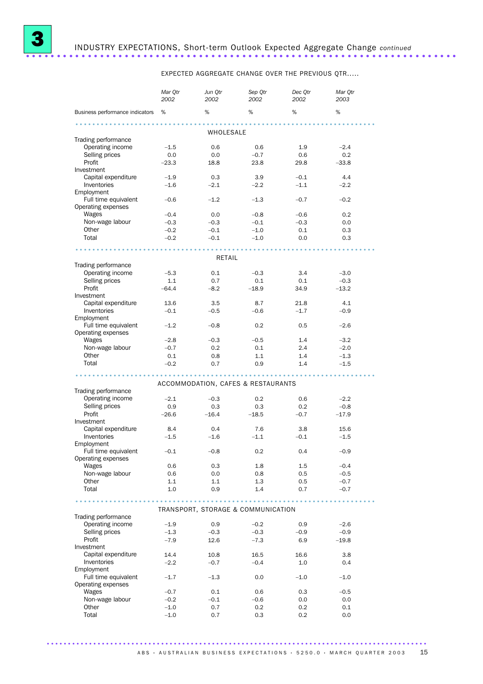

EXPECTED AGGREGATE CHANGE OVER THE PREVIOUS QTR.....

|                                            | Mar Otr<br>2002 | Jun Qtr<br>2002 | Sep Qtr<br>2002                    | Dec Qtr<br>2002 | Mar Otr<br>2003 |  |  |  |
|--------------------------------------------|-----------------|-----------------|------------------------------------|-----------------|-----------------|--|--|--|
| Business performance indicators            | %               | %               | %                                  | %               | %               |  |  |  |
| WHOLESALE                                  |                 |                 |                                    |                 |                 |  |  |  |
| Trading performance                        |                 |                 |                                    |                 |                 |  |  |  |
| Operating income                           | $-1.5$          | 0.6             | 0.6                                | 1.9             | $-2.4$          |  |  |  |
| Selling prices                             | 0.0             | 0.0             | $-0.7$                             | 0.6             | 0.2             |  |  |  |
| Profit                                     | $-23.3$         | 18.8            | 23.8                               | 29.8            | $-33.8$         |  |  |  |
| Investment                                 |                 |                 |                                    |                 |                 |  |  |  |
| Capital expenditure                        | $-1.9$          | 0.3             | 3.9                                | $-0.1$          | 4.4             |  |  |  |
| Inventories                                | $-1.6$          | $-2.1$          | $-2.2$                             | $-1.1$          | $-2.2$          |  |  |  |
| Employment                                 |                 |                 |                                    |                 |                 |  |  |  |
| Full time equivalent<br>Operating expenses | $-0.6$          | $-1.2$          | $-1.3$                             | $-0.7$          | $-0.2$          |  |  |  |
| Wages                                      | $-0.4$          | 0.0             | $-0.8$                             | $-0.6$          | 0.2             |  |  |  |
| Non-wage labour                            | $-0.3$          | $-0.3$          | $-0.1$                             | $-0.3$          | 0.0             |  |  |  |
| Other                                      | $-0.2$          | $-0.1$          | $-1.0$                             | 0.1             | 0.3             |  |  |  |
| Total                                      | $-0.2$          | $-0.1$          | $-1.0$                             | 0.0             | 0.3             |  |  |  |
|                                            |                 |                 |                                    |                 |                 |  |  |  |
|                                            |                 | RETAIL          |                                    |                 |                 |  |  |  |
| Trading performance                        |                 |                 |                                    |                 |                 |  |  |  |
| Operating income                           | $-5.3$          | 0.1             | $-0.3$                             | 3.4             | $-3.0$          |  |  |  |
| Selling prices                             | 1.1             | 0.7             | 0.1                                | 0.1             | $-0.3$          |  |  |  |
| Profit                                     | $-64.4$         | $-8.2$          | $-18.9$                            | 34.9            | $-13.2$         |  |  |  |
| Investment                                 |                 |                 |                                    |                 |                 |  |  |  |
| Capital expenditure                        | 13.6            | 3.5             | 8.7                                | 21.8            | 4.1             |  |  |  |
| Inventories                                | $-0.1$          | $-0.5$          | $-0.6$                             | $-1.7$          | $-0.9$          |  |  |  |
| Employment                                 |                 |                 |                                    |                 |                 |  |  |  |
| Full time equivalent                       | $-1.2$          | $-0.8$          | 0.2                                | 0.5             | $-2.6$          |  |  |  |
| Operating expenses                         |                 |                 |                                    |                 |                 |  |  |  |
| Wages                                      | $-2.8$          | $-0.3$          | $-0.5$                             | 1.4             | $-3.2$          |  |  |  |
| Non-wage labour                            | $-0.7$          | 0.2             | 0.1                                | 2.4             | $-2.0$          |  |  |  |
| Other                                      | 0.1             | 0.8             | 1.1                                | 1.4             | $-1.3$          |  |  |  |
| Total                                      | $-0.2$          | 0.7             | 0.9                                | 1.4             | $-1.5$          |  |  |  |
|                                            |                 |                 |                                    |                 |                 |  |  |  |
|                                            |                 |                 | ACCOMMODATION, CAFES & RESTAURANTS |                 |                 |  |  |  |
| Trading performance                        |                 |                 |                                    |                 |                 |  |  |  |
| Operating income                           | $-2.1$          | $-0.3$          | 0.2                                | 0.6             | $-2.2$          |  |  |  |
| Selling prices                             | 0.9             | 0.3             | 0.3                                | 0.2             | $-0.8$          |  |  |  |
| Profit                                     | $-26.6$         | $-16.4$         | $-18.5$                            | $-0.7$          | $-17.9$         |  |  |  |
| Investment                                 |                 |                 |                                    |                 |                 |  |  |  |
| Capital expenditure                        | 8.4             | 0.4             | 7.6                                | 3.8             | 15.6            |  |  |  |
| Inventories<br>Employment                  | $-1.5$          | $-1.6$          | $-1.1$                             | $-0.1$          | $-1.5$          |  |  |  |
| Full time equivalent                       | $-0.1$          | $-0.8$          | 0.2                                | 0.4             | -0.9            |  |  |  |
| Operating expenses                         |                 |                 |                                    |                 |                 |  |  |  |
| Wages                                      | 0.6             | 0.3             | 1.8                                | $1.5\,$         | $-0.4$          |  |  |  |
| Non-wage labour                            | 0.6             | 0.0             | 0.8                                | 0.5             | $-0.5$          |  |  |  |
| Other                                      | 1.1             | 1.1             | 1.3                                | 0.5             | $-0.7$          |  |  |  |
| Total                                      | 1.0             | 0.9             | 1.4                                | 0.7             | $-0.7$          |  |  |  |
|                                            |                 |                 |                                    |                 |                 |  |  |  |
|                                            |                 |                 |                                    |                 |                 |  |  |  |
|                                            |                 |                 | TRANSPORT, STORAGE & COMMUNICATION |                 |                 |  |  |  |
| Trading performance                        |                 |                 |                                    |                 |                 |  |  |  |
| Operating income                           | $-1.9$          | 0.9             | $-0.2$                             | 0.9             | $-2.6$          |  |  |  |
| Selling prices                             | $-1.3$          | $-0.3$          | $-0.3$                             | $-0.9$          | $-0.9$          |  |  |  |
| Profit                                     | $-7.9$          | 12.6            | $-7.3$                             | 6.9             | $-19.8$         |  |  |  |
| Investment<br>Capital expenditure          | 14.4            | 10.8            | 16.5                               | 16.6            | 3.8             |  |  |  |
| Inventories                                | $-2.2$          | $-0.7$          | $-0.4$                             | 1.0             | 0.4             |  |  |  |
| Employment                                 |                 |                 |                                    |                 |                 |  |  |  |
| Full time equivalent                       | $-1.7$          | $-1.3$          | 0.0                                | $-1.0$          | $-1.0$          |  |  |  |
| Operating expenses                         |                 |                 |                                    |                 |                 |  |  |  |
| Wages                                      | $-0.7$          | 0.1             | 0.6                                | 0.3             | $-0.5$          |  |  |  |
| Non-wage labour                            | $-0.2$          | $-0.1$          | $-0.6$                             | 0.0             | 0.0             |  |  |  |
| Other                                      | $-1.0$          | 0.7             | 0.2                                | 0.2             | 0.1             |  |  |  |
| Total                                      | $-1.0$          | 0.7             | 0.3                                | 0.2             | 0.0             |  |  |  |
|                                            |                 |                 |                                    |                 |                 |  |  |  |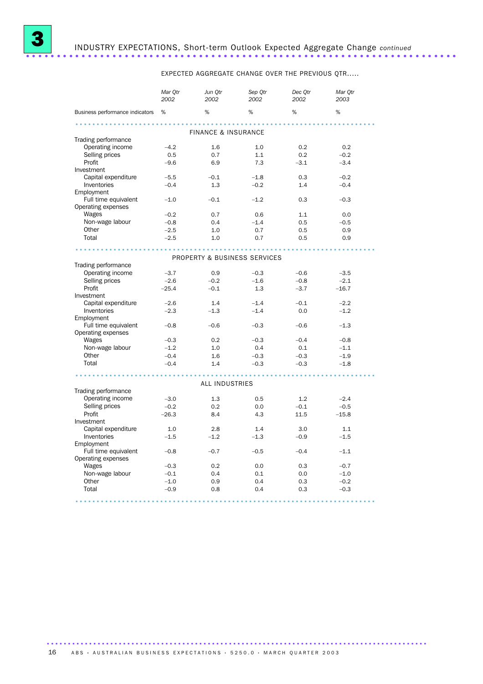

# 3 INDUSTRY EXPECTATIONS, Short-term Outlook Expected Aggregate Change *continued* ......................................................................

EXPECTED AGGREGATE CHANGE OVER THE PREVIOUS QTR.....

|                                 | Mar Otr<br>2002 | Jun Otr<br>2002              | Sep Otr<br>2002 | Dec Otr<br>2002 | Mar Otr<br>2003 |  |  |  |  |
|---------------------------------|-----------------|------------------------------|-----------------|-----------------|-----------------|--|--|--|--|
| Business performance indicators | %               | %                            | %               | %               | %               |  |  |  |  |
|                                 |                 |                              |                 |                 |                 |  |  |  |  |
| <b>FINANCE &amp; INSURANCE</b>  |                 |                              |                 |                 |                 |  |  |  |  |
| Trading performance             |                 |                              |                 |                 |                 |  |  |  |  |
| Operating income                | $-4.2$          | 1.6                          | 1.0             | 0.2             | 0.2             |  |  |  |  |
| Selling prices                  | 0.5             | 0.7                          | 1.1             | 0.2             | $-0.2$          |  |  |  |  |
| Profit                          | $-9.6$          | 6.9                          | 7.3             | $-3.1$          | $-3.4$          |  |  |  |  |
| Investment                      |                 |                              |                 |                 |                 |  |  |  |  |
| Capital expenditure             | $-5.5$          | $-0.1$                       | $-1.8$          | 0.3             | $-0.2$          |  |  |  |  |
| Inventories                     | $-0.4$          | 1.3                          | $-0.2$          | 1.4             | $-0.4$          |  |  |  |  |
| Employment                      |                 |                              |                 |                 |                 |  |  |  |  |
| Full time equivalent            | $-1.0$          | $-0.1$                       | $-1.2$          | 0.3             | $-0.3$          |  |  |  |  |
| Operating expenses              |                 |                              |                 |                 |                 |  |  |  |  |
| Wages                           | $-0.2$          | 0.7                          | 0.6             | 1.1             | 0.0             |  |  |  |  |
| Non-wage labour                 | $-0.8$          | 0.4                          | $-1.4$          | 0.5             | $-0.5$          |  |  |  |  |
| Other                           | $-2.5$          | 1.0                          | 0.7             | 0.5             | 0.9             |  |  |  |  |
| Total                           | $-2.5$          | 1.0                          | 0.7             | 0.5             | 0.9             |  |  |  |  |
|                                 |                 |                              |                 |                 |                 |  |  |  |  |
|                                 |                 | PROPERTY & BUSINESS SERVICES |                 |                 |                 |  |  |  |  |
| Trading performance             |                 |                              |                 |                 |                 |  |  |  |  |
| Operating income                | $-3.7$          | 0.9                          | $-0.3$          | $-0.6$          | $-3.5$          |  |  |  |  |
| Selling prices                  | $-2.6$          | $-0.2$                       | $-1.6$          | $-0.8$          | $-2.1$          |  |  |  |  |
| Profit                          | $-25.4$         | $-0.1$                       | 1.3             | $-3.7$          | $-16.7$         |  |  |  |  |
| Investment                      |                 |                              |                 |                 |                 |  |  |  |  |
| Capital expenditure             | $-2.6$          | 1.4                          | $-1.4$          | $-0.1$          | $-2.2$          |  |  |  |  |
| Inventories                     | $-2.3$          | $-1.3$                       | $-1.4$          | 0.0             | $-1.2$          |  |  |  |  |
| Employment                      |                 |                              |                 |                 |                 |  |  |  |  |
| Full time equivalent            | $-0.8$          | $-0.6$                       | $-0.3$          | $-0.6$          | $-1.3$          |  |  |  |  |
| Operating expenses              |                 |                              |                 |                 |                 |  |  |  |  |
| Wages                           | $-0.3$          | 0.2                          | $-0.3$          | $-0.4$          | $-0.8$          |  |  |  |  |
| Non-wage labour                 | $-1.2$          | 1.0                          | 0.4             | 0.1             | $-1.1$          |  |  |  |  |
| Other                           | $-0.4$          | 1.6                          | $-0.3$          | $-0.3$          | $-1.9$          |  |  |  |  |
| Total                           | $-0.4$          | 1.4                          | $-0.3$          | $-0.3$          | $-1.8$          |  |  |  |  |
|                                 |                 |                              |                 |                 |                 |  |  |  |  |
|                                 |                 | <b>ALL INDUSTRIES</b>        |                 |                 |                 |  |  |  |  |
| Trading performance             |                 |                              |                 |                 |                 |  |  |  |  |
| Operating income                | $-3.0$          | 1.3                          | 0.5             | 1.2             | $-2.4$          |  |  |  |  |
| Selling prices                  | $-0.2$          | 0.2                          | 0.0             | $-0.1$          | $-0.5$          |  |  |  |  |
| Profit                          | $-26.3$         | 8.4                          | 4.3             | 11.5            | $-15.8$         |  |  |  |  |
| Investment                      |                 |                              |                 |                 |                 |  |  |  |  |
| Capital expenditure             | 1.0             | 2.8                          | 1.4             | 3.0             | 1.1             |  |  |  |  |
| Inventories                     | $-1.5$          | $-1.2$                       | $-1.3$          | $-0.9$          | $-1.5$          |  |  |  |  |
| Employment                      |                 |                              |                 |                 |                 |  |  |  |  |
| Full time equivalent            | $-0.8$          | $-0.7$                       | $-0.5$          | $-0.4$          | $-1.1$          |  |  |  |  |
| Operating expenses              |                 |                              |                 |                 |                 |  |  |  |  |
| Wages                           | $-0.3$          | 0.2                          | 0.0             | 0.3             | $-0.7$          |  |  |  |  |
| Non-wage labour                 | $-0.1$          | 0.4                          | 0.1             | 0.0             | $-1.0$          |  |  |  |  |
| Other                           | $-1.0$          | 0.9                          | 0.4             | 0.3             | $-0.2$          |  |  |  |  |
| Total                           | $-0.9$          | 0.8                          | 0.4             | 0.3             | $-0.3$          |  |  |  |  |
|                                 |                 |                              |                 |                 |                 |  |  |  |  |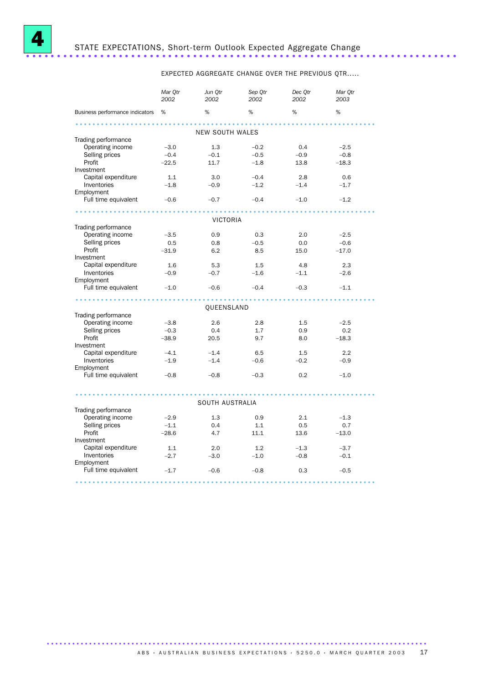

EXPECTED AGGREGATE CHANGE OVER THE PREVIOUS QTR.....

| %<br>%<br>%<br>%<br>Business performance indicators %<br><b>NEW SOUTH WALES</b><br>Trading performance<br>Operating income<br>1.3<br>$-3.0$<br>$-0.2$<br>0.4<br>$-2.5$<br>Selling prices<br>$-0.4$<br>$-0.1$<br>$-0.5$<br>$-0.8$<br>$-0.9$<br>Profit<br>$-22.5$<br>11.7<br>$-1.8$<br>13.8<br>$-18.3$<br>Investment<br>Capital expenditure<br>1.1<br>3.0<br>$-0.4$<br>2.8<br>0.6<br>Inventories<br>$-1.8$<br>$-1.2$<br>$-0.9$<br>$-1.4$<br>$-1.7$<br>Employment<br>Full time equivalent<br>$-0.6$<br>$-0.7$<br>$-0.4$<br>$-1.2$<br>$-1.0$<br><b>VICTORIA</b><br>Trading performance<br>Operating income<br>0.9<br>$-3.5$<br>0.3<br>2.0<br>$-2.5$<br>Selling prices<br>0.5<br>0.8<br>$-0.6$<br>$-0.5$<br>0.0<br>Profit<br>6.2<br>15.0<br>$-31.9$<br>8.5<br>$-17.0$<br>Investment<br>Capital expenditure<br>1.6<br>5.3<br>1.5<br>4.8<br>2.3<br>Inventories<br>$-0.7$<br>$-0.9$<br>$-1.6$<br>$-1.1$<br>$-2.6$<br>Employment<br>Full time equivalent<br>$-1.0$<br>$-0.6$<br>$-0.4$<br>$-0.3$<br>$-1.1$<br>QUEENSLAND<br>Trading performance<br>Operating income<br>$-3.8$<br>2.6<br>2.8<br>$-2.5$<br>1.5<br>Selling prices<br>$-0.3$<br>0.4<br>1.7<br>0.2<br>0.9<br>Profit |  |  |  |  |  |  |
|-----------------------------------------------------------------------------------------------------------------------------------------------------------------------------------------------------------------------------------------------------------------------------------------------------------------------------------------------------------------------------------------------------------------------------------------------------------------------------------------------------------------------------------------------------------------------------------------------------------------------------------------------------------------------------------------------------------------------------------------------------------------------------------------------------------------------------------------------------------------------------------------------------------------------------------------------------------------------------------------------------------------------------------------------------------------------------------------------------------------------------------------------------------------------|--|--|--|--|--|--|
|                                                                                                                                                                                                                                                                                                                                                                                                                                                                                                                                                                                                                                                                                                                                                                                                                                                                                                                                                                                                                                                                                                                                                                       |  |  |  |  |  |  |
|                                                                                                                                                                                                                                                                                                                                                                                                                                                                                                                                                                                                                                                                                                                                                                                                                                                                                                                                                                                                                                                                                                                                                                       |  |  |  |  |  |  |
|                                                                                                                                                                                                                                                                                                                                                                                                                                                                                                                                                                                                                                                                                                                                                                                                                                                                                                                                                                                                                                                                                                                                                                       |  |  |  |  |  |  |
|                                                                                                                                                                                                                                                                                                                                                                                                                                                                                                                                                                                                                                                                                                                                                                                                                                                                                                                                                                                                                                                                                                                                                                       |  |  |  |  |  |  |
|                                                                                                                                                                                                                                                                                                                                                                                                                                                                                                                                                                                                                                                                                                                                                                                                                                                                                                                                                                                                                                                                                                                                                                       |  |  |  |  |  |  |
|                                                                                                                                                                                                                                                                                                                                                                                                                                                                                                                                                                                                                                                                                                                                                                                                                                                                                                                                                                                                                                                                                                                                                                       |  |  |  |  |  |  |
|                                                                                                                                                                                                                                                                                                                                                                                                                                                                                                                                                                                                                                                                                                                                                                                                                                                                                                                                                                                                                                                                                                                                                                       |  |  |  |  |  |  |
|                                                                                                                                                                                                                                                                                                                                                                                                                                                                                                                                                                                                                                                                                                                                                                                                                                                                                                                                                                                                                                                                                                                                                                       |  |  |  |  |  |  |
|                                                                                                                                                                                                                                                                                                                                                                                                                                                                                                                                                                                                                                                                                                                                                                                                                                                                                                                                                                                                                                                                                                                                                                       |  |  |  |  |  |  |
|                                                                                                                                                                                                                                                                                                                                                                                                                                                                                                                                                                                                                                                                                                                                                                                                                                                                                                                                                                                                                                                                                                                                                                       |  |  |  |  |  |  |
|                                                                                                                                                                                                                                                                                                                                                                                                                                                                                                                                                                                                                                                                                                                                                                                                                                                                                                                                                                                                                                                                                                                                                                       |  |  |  |  |  |  |
|                                                                                                                                                                                                                                                                                                                                                                                                                                                                                                                                                                                                                                                                                                                                                                                                                                                                                                                                                                                                                                                                                                                                                                       |  |  |  |  |  |  |
|                                                                                                                                                                                                                                                                                                                                                                                                                                                                                                                                                                                                                                                                                                                                                                                                                                                                                                                                                                                                                                                                                                                                                                       |  |  |  |  |  |  |
|                                                                                                                                                                                                                                                                                                                                                                                                                                                                                                                                                                                                                                                                                                                                                                                                                                                                                                                                                                                                                                                                                                                                                                       |  |  |  |  |  |  |
|                                                                                                                                                                                                                                                                                                                                                                                                                                                                                                                                                                                                                                                                                                                                                                                                                                                                                                                                                                                                                                                                                                                                                                       |  |  |  |  |  |  |
|                                                                                                                                                                                                                                                                                                                                                                                                                                                                                                                                                                                                                                                                                                                                                                                                                                                                                                                                                                                                                                                                                                                                                                       |  |  |  |  |  |  |
|                                                                                                                                                                                                                                                                                                                                                                                                                                                                                                                                                                                                                                                                                                                                                                                                                                                                                                                                                                                                                                                                                                                                                                       |  |  |  |  |  |  |
|                                                                                                                                                                                                                                                                                                                                                                                                                                                                                                                                                                                                                                                                                                                                                                                                                                                                                                                                                                                                                                                                                                                                                                       |  |  |  |  |  |  |
|                                                                                                                                                                                                                                                                                                                                                                                                                                                                                                                                                                                                                                                                                                                                                                                                                                                                                                                                                                                                                                                                                                                                                                       |  |  |  |  |  |  |
|                                                                                                                                                                                                                                                                                                                                                                                                                                                                                                                                                                                                                                                                                                                                                                                                                                                                                                                                                                                                                                                                                                                                                                       |  |  |  |  |  |  |
|                                                                                                                                                                                                                                                                                                                                                                                                                                                                                                                                                                                                                                                                                                                                                                                                                                                                                                                                                                                                                                                                                                                                                                       |  |  |  |  |  |  |
|                                                                                                                                                                                                                                                                                                                                                                                                                                                                                                                                                                                                                                                                                                                                                                                                                                                                                                                                                                                                                                                                                                                                                                       |  |  |  |  |  |  |
|                                                                                                                                                                                                                                                                                                                                                                                                                                                                                                                                                                                                                                                                                                                                                                                                                                                                                                                                                                                                                                                                                                                                                                       |  |  |  |  |  |  |
|                                                                                                                                                                                                                                                                                                                                                                                                                                                                                                                                                                                                                                                                                                                                                                                                                                                                                                                                                                                                                                                                                                                                                                       |  |  |  |  |  |  |
|                                                                                                                                                                                                                                                                                                                                                                                                                                                                                                                                                                                                                                                                                                                                                                                                                                                                                                                                                                                                                                                                                                                                                                       |  |  |  |  |  |  |
|                                                                                                                                                                                                                                                                                                                                                                                                                                                                                                                                                                                                                                                                                                                                                                                                                                                                                                                                                                                                                                                                                                                                                                       |  |  |  |  |  |  |
|                                                                                                                                                                                                                                                                                                                                                                                                                                                                                                                                                                                                                                                                                                                                                                                                                                                                                                                                                                                                                                                                                                                                                                       |  |  |  |  |  |  |
| $-38.9$<br>20.5<br>9.7<br>8.0<br>$-18.3$<br>Investment                                                                                                                                                                                                                                                                                                                                                                                                                                                                                                                                                                                                                                                                                                                                                                                                                                                                                                                                                                                                                                                                                                                |  |  |  |  |  |  |
| Capital expenditure<br>$-4.1$<br>$-1.4$<br>2.2<br>6.5<br>1.5                                                                                                                                                                                                                                                                                                                                                                                                                                                                                                                                                                                                                                                                                                                                                                                                                                                                                                                                                                                                                                                                                                          |  |  |  |  |  |  |
| Inventories<br>$-1.9$<br>$-1.4$<br>$-0.6$<br>$-0.2$<br>$-0.9$                                                                                                                                                                                                                                                                                                                                                                                                                                                                                                                                                                                                                                                                                                                                                                                                                                                                                                                                                                                                                                                                                                         |  |  |  |  |  |  |
| Employment                                                                                                                                                                                                                                                                                                                                                                                                                                                                                                                                                                                                                                                                                                                                                                                                                                                                                                                                                                                                                                                                                                                                                            |  |  |  |  |  |  |
| Full time equivalent<br>$-1.0$<br>$-0.8$<br>$-0.8$<br>$-0.3$<br>0.2                                                                                                                                                                                                                                                                                                                                                                                                                                                                                                                                                                                                                                                                                                                                                                                                                                                                                                                                                                                                                                                                                                   |  |  |  |  |  |  |
|                                                                                                                                                                                                                                                                                                                                                                                                                                                                                                                                                                                                                                                                                                                                                                                                                                                                                                                                                                                                                                                                                                                                                                       |  |  |  |  |  |  |
| .<br>.<br>SOUTH AUSTRALIA                                                                                                                                                                                                                                                                                                                                                                                                                                                                                                                                                                                                                                                                                                                                                                                                                                                                                                                                                                                                                                                                                                                                             |  |  |  |  |  |  |
| Trading performance                                                                                                                                                                                                                                                                                                                                                                                                                                                                                                                                                                                                                                                                                                                                                                                                                                                                                                                                                                                                                                                                                                                                                   |  |  |  |  |  |  |
| Operating income<br>$-2.9$<br>1.3<br>2.1<br>$-1.3$                                                                                                                                                                                                                                                                                                                                                                                                                                                                                                                                                                                                                                                                                                                                                                                                                                                                                                                                                                                                                                                                                                                    |  |  |  |  |  |  |
| 0.9                                                                                                                                                                                                                                                                                                                                                                                                                                                                                                                                                                                                                                                                                                                                                                                                                                                                                                                                                                                                                                                                                                                                                                   |  |  |  |  |  |  |
| Selling prices<br>$-1.1$<br>0.4<br>1.1<br>0.5<br>0.7                                                                                                                                                                                                                                                                                                                                                                                                                                                                                                                                                                                                                                                                                                                                                                                                                                                                                                                                                                                                                                                                                                                  |  |  |  |  |  |  |
| Profit<br>$-28.6$<br>4.7<br>11.1<br>13.6<br>$-13.0$                                                                                                                                                                                                                                                                                                                                                                                                                                                                                                                                                                                                                                                                                                                                                                                                                                                                                                                                                                                                                                                                                                                   |  |  |  |  |  |  |
| Investment                                                                                                                                                                                                                                                                                                                                                                                                                                                                                                                                                                                                                                                                                                                                                                                                                                                                                                                                                                                                                                                                                                                                                            |  |  |  |  |  |  |
|                                                                                                                                                                                                                                                                                                                                                                                                                                                                                                                                                                                                                                                                                                                                                                                                                                                                                                                                                                                                                                                                                                                                                                       |  |  |  |  |  |  |
| Capital expenditure<br>2.0<br>1.1<br>1.2<br>$-1.3$<br>$-3.7$                                                                                                                                                                                                                                                                                                                                                                                                                                                                                                                                                                                                                                                                                                                                                                                                                                                                                                                                                                                                                                                                                                          |  |  |  |  |  |  |
| Inventories<br>$-2.7$<br>$-3.0$<br>$-1.0$<br>$-0.8$<br>$-0.1$                                                                                                                                                                                                                                                                                                                                                                                                                                                                                                                                                                                                                                                                                                                                                                                                                                                                                                                                                                                                                                                                                                         |  |  |  |  |  |  |
| Employment<br>Full time equivalent<br>$-1.7$<br>$-0.6$<br>0.3<br>$-0.8$<br>$-0.5$                                                                                                                                                                                                                                                                                                                                                                                                                                                                                                                                                                                                                                                                                                                                                                                                                                                                                                                                                                                                                                                                                     |  |  |  |  |  |  |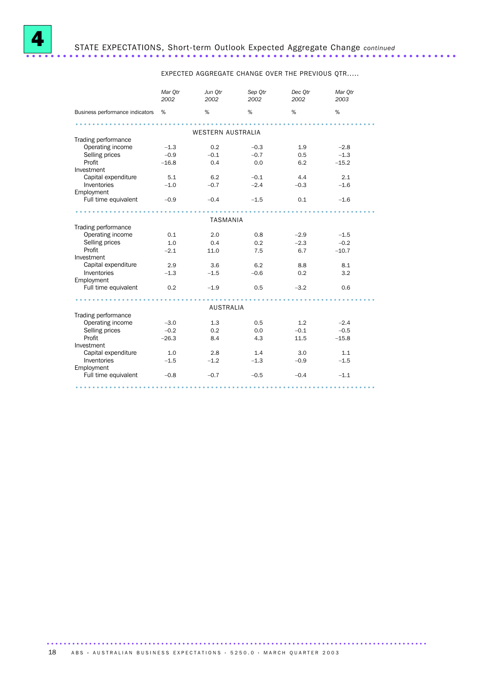

EXPECTED AGGREGATE CHANGE OVER THE PREVIOUS QTR.....

|                                         | Mar Otr<br>2002 | Jun Otr<br>2002          | Sep Otr<br>2002 | Dec Otr<br>2002 | Mar Otr<br>2003 |  |  |
|-----------------------------------------|-----------------|--------------------------|-----------------|-----------------|-----------------|--|--|
| Business performance indicators %       |                 | %                        | %               | %               | %               |  |  |
|                                         |                 |                          |                 |                 |                 |  |  |
|                                         |                 | <b>WESTERN AUSTRALIA</b> |                 |                 |                 |  |  |
| Trading performance                     |                 |                          |                 |                 |                 |  |  |
| Operating income                        | $-1.3$          | 0.2                      | $-0.3$          | 1.9             | $-2.8$          |  |  |
| Selling prices                          | $-0.9$          | $-0.1$                   | $-0.7$          | 0.5             | $-1.3$          |  |  |
| Profit                                  | $-16.8$         | 0.4                      | 0.0             | 6.2             | $-15.2$         |  |  |
| Investment                              |                 |                          |                 |                 |                 |  |  |
| Capital expenditure                     | 5.1             | 6.2                      | $-0.1$          | 4.4             | 2.1             |  |  |
| Inventories                             | $-1.0$          | $-0.7$                   | $-2.4$          | $-0.3$          | $-1.6$          |  |  |
| Employment                              |                 |                          |                 |                 |                 |  |  |
| Full time equivalent                    | $-0.9$          | $-0.4$                   | $-1.5$          | 0.1             | $-1.6$          |  |  |
|                                         |                 |                          |                 |                 |                 |  |  |
| <b>TASMANIA</b>                         |                 |                          |                 |                 |                 |  |  |
| Trading performance                     |                 |                          |                 |                 |                 |  |  |
| Operating income                        | 0.1             | 2.0                      | 0.8             | $-2.9$          | $-1.5$          |  |  |
| Selling prices                          | 1.0             | 0.4                      | 0.2             | $-2.3$          | $-0.2$          |  |  |
| Profit                                  | $-2.1$          | 11.0                     | 7.5             | 6.7             | $-10.7$         |  |  |
| Investment                              |                 |                          |                 |                 |                 |  |  |
| Capital expenditure                     | 2.9             | 3.6                      | 6.2             | 8.8             | 8.1             |  |  |
| Inventories                             | $-1.3$          | $-1.5$                   | $-0.6$          | 0.2             | 3.2             |  |  |
| Employment                              |                 |                          |                 |                 |                 |  |  |
| Full time equivalent                    | 0.2             | $-1.9$                   | 0.5             | $-3.2$          | 0.6             |  |  |
|                                         |                 |                          |                 |                 |                 |  |  |
|                                         |                 | <b>AUSTRALIA</b>         |                 |                 |                 |  |  |
| Trading performance<br>Operating income | $-3.0$          | 1.3                      | 0.5             | 1.2             | $-2.4$          |  |  |
|                                         |                 |                          |                 |                 |                 |  |  |
| Selling prices                          | $-0.2$          | 0.2                      | 0.0             | $-0.1$          | $-0.5$          |  |  |
| Profit                                  | $-26.3$         | 8.4                      | 4.3             | 11.5            | $-15.8$         |  |  |
| Investment                              |                 |                          |                 |                 |                 |  |  |
| Capital expenditure                     | 1.0             | 2.8                      | 1.4             | 3.0             | 1.1             |  |  |
| Inventories                             | $-1.5$          | $-1.2$                   | $-1.3$          | $-0.9$          | $-1.5$          |  |  |
| Employment<br>Full time equivalent      | $-0.8$          | $-0.7$                   | $-0.5$          |                 | $-1.1$          |  |  |
|                                         |                 |                          |                 | $-0.4$          |                 |  |  |
|                                         |                 |                          |                 |                 |                 |  |  |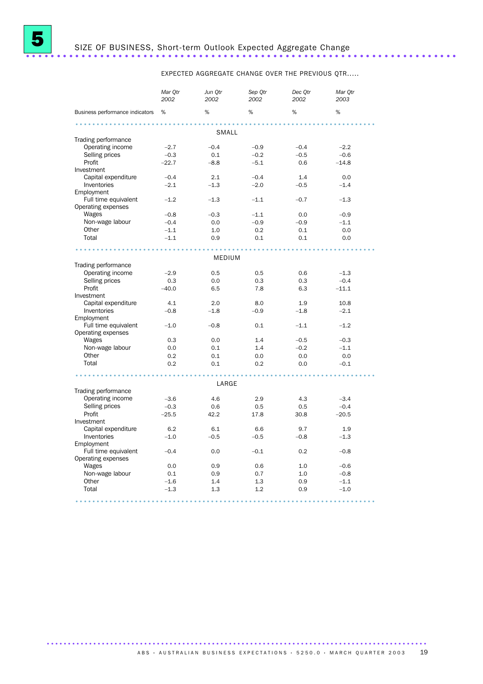

# <sup>5</sup> SIZE OF BUSINESS, Short-term Outlook Expected Aggregate Change ......................................................................

EXPECTED AGGREGATE CHANGE OVER THE PREVIOUS QTR.....

|                                 | Mar Otr<br>2002 | Jun Otr<br>2002 | Sep Qtr<br>2002 | Dec Otr<br>2002 | Mar Otr<br>2003 |  |  |  |
|---------------------------------|-----------------|-----------------|-----------------|-----------------|-----------------|--|--|--|
| Business performance indicators | %               | %               | %               | %               | %               |  |  |  |
|                                 |                 |                 |                 |                 |                 |  |  |  |
|                                 |                 | SMALL           |                 |                 |                 |  |  |  |
| Trading performance             |                 |                 |                 |                 |                 |  |  |  |
| Operating income                | $-2.7$          | $-0.4$          | $-0.9$          | $-0.4$          | $-2.2$          |  |  |  |
| Selling prices                  | $-0.3$          | 0.1             | $-0.2$          | $-0.5$          | $-0.6$          |  |  |  |
| Profit                          | $-22.7$         | $-8.8$          | $-5.1$          | 0.6             | $-14.8$         |  |  |  |
| Investment                      |                 |                 |                 |                 |                 |  |  |  |
| Capital expenditure             | $-0.4$          | 2.1             | $-0.4$          | 1.4             | 0.0             |  |  |  |
| Inventories                     | $-2.1$          | $-1.3$          | $-2.0$          | $-0.5$          | $-1.4$          |  |  |  |
| Employment                      |                 |                 |                 |                 |                 |  |  |  |
| Full time equivalent            | $-1.2$          | $-1.3$          | $-1.1$          | $-0.7$          | $-1.3$          |  |  |  |
| Operating expenses              |                 |                 |                 |                 |                 |  |  |  |
| Wages                           | $-0.8$          | $-0.3$          | $-1.1$          | 0.0             | $-0.9$          |  |  |  |
| Non-wage labour                 | $-0.4$          | 0.0             | $-0.9$          | $-0.9$          | $-1.1$          |  |  |  |
| Other                           | $-1.1$          | 1.0             | 0.2             | 0.1             | 0.0             |  |  |  |
| Total                           | $-1.1$          | 0.9             | 0.1             | 0.1             | 0.0             |  |  |  |
|                                 |                 |                 |                 |                 |                 |  |  |  |
|                                 |                 | MEDIUM          |                 |                 |                 |  |  |  |
| Trading performance             |                 |                 |                 |                 |                 |  |  |  |
| Operating income                | $-2.9$          | 0.5             | 0.5             | 0.6             | $-1.3$          |  |  |  |
| Selling prices                  | 0.3             | 0.0             | 0.3             | 0.3             | $-0.4$          |  |  |  |
| Profit                          | $-40.0$         | 6.5             | 7.8             | 6.3             | $-11.1$         |  |  |  |
| Investment                      |                 |                 |                 |                 |                 |  |  |  |
| Capital expenditure             | 4.1             | 2.0             | 8.0             | 1.9             | 10.8            |  |  |  |
| Inventories                     | $-0.8$          | $-1.8$          | $-0.9$          | $-1.8$          | $-2.1$          |  |  |  |
| Employment                      |                 |                 |                 |                 |                 |  |  |  |
| Full time equivalent            | $-1.0$          | $-0.8$          | 0.1             | $-1.1$          | $-1.2$          |  |  |  |
| Operating expenses              |                 |                 |                 |                 |                 |  |  |  |
| Wages                           | 0.3             | 0.0             | 1.4             | $-0.5$          | $-0.3$          |  |  |  |
| Non-wage labour                 | 0.0             | 0.1             | 1.4             | $-0.2$          | $-1.1$          |  |  |  |
| Other                           | 0.2             | 0.1             | 0.0             | 0.0             | 0.0             |  |  |  |
| Total                           | 0.2             | 0.1             | 0.2             | 0.0             | $-0.1$          |  |  |  |
|                                 |                 |                 |                 |                 |                 |  |  |  |
|                                 |                 | LARGE           |                 |                 |                 |  |  |  |
| Trading performance             |                 |                 |                 |                 |                 |  |  |  |
| Operating income                | $-3.6$          | 4.6             | 2.9             | 4.3             | $-3.4$          |  |  |  |
| Selling prices                  | $-0.3$          | 0.6             | 0.5             | 0.5             | $-0.4$          |  |  |  |
| Profit                          | $-25.5$         | 42.2            | 17.8            | 30.8            | $-20.5$         |  |  |  |
| Investment                      |                 |                 |                 |                 |                 |  |  |  |
| Capital expenditure             | 6.2             | 6.1             | 6.6             | 9.7             | 1.9             |  |  |  |
| Inventories                     | $-1.0$          | $-0.5$          | $-0.5$          | $-0.8$          | $-1.3$          |  |  |  |
| Employment                      |                 |                 |                 |                 |                 |  |  |  |
| Full time equivalent            | $-0.4$          | 0.0             | $-0.1$          | 0.2             | $-0.8$          |  |  |  |
| Operating expenses              |                 |                 |                 |                 |                 |  |  |  |
| Wages                           | 0.0             | 0.9             | 0.6             | 1.0             | $-0.6$          |  |  |  |
| Non-wage labour                 | 0.1             | 0.9             | 0.7             | 1.0             | $-0.8$          |  |  |  |
| Other                           | $-1.6$          | 1.4             | 1.3             | 0.9             | $-1.1$          |  |  |  |
| Total                           | $-1.3$          | 1.3             | 1.2             | 0.9             | $-1.0$          |  |  |  |
|                                 |                 |                 |                 |                 |                 |  |  |  |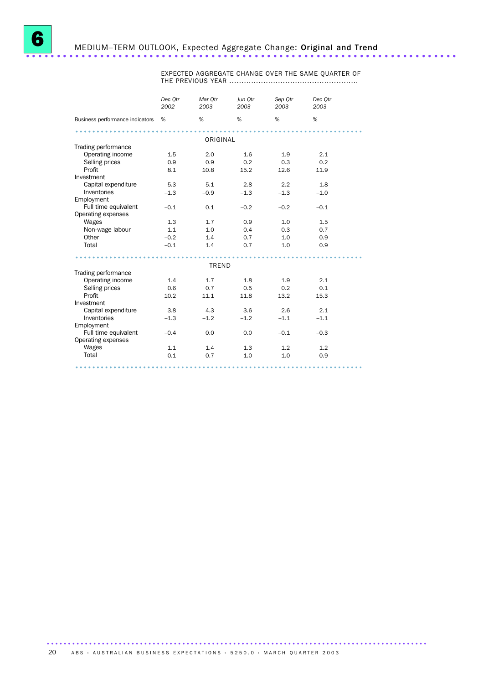EXPECTED AGGREGATE CHANGE OVER THE SAME QUARTER OF THE PREVIOUS YEAR .....................................................

|                                   | Dec Otr<br>2002 | Mar Otr<br>2003 | Jun Otr<br>2003 | Sep Qtr<br>2003 | Dec Otr<br>2003 |
|-----------------------------------|-----------------|-----------------|-----------------|-----------------|-----------------|
| Business performance indicators   | %               | $\%$            | %               | %               | %               |
|                                   |                 | ORIGINAL        |                 |                 |                 |
| Trading performance               |                 |                 |                 |                 |                 |
| Operating income                  | 1.5             | 2.0             | 1.6             | 1.9             | 2.1             |
| Selling prices                    | 0.9             | 0.9             | 0.2             | 0.3             | 0.2             |
| Profit                            | 8.1             | 10.8            | 15.2            | 12.6            | 11.9            |
| Investment                        |                 |                 |                 |                 |                 |
| Capital expenditure               | 5.3             | 5.1             | 2.8             | 2.2             | 1.8             |
| Inventories                       | $-1.3$          | $-0.9$          | $-1.3$          | $-1.3$          | $-1.0$          |
| Employment                        |                 |                 |                 |                 |                 |
| Full time equivalent              | $-0.1$          | 0.1             | $-0.2$          | $-0.2$          | $-0.1$          |
| Operating expenses                |                 |                 |                 |                 |                 |
| Wages                             | 1.3             | 1.7             | 0.9             | 1.0             | 1.5             |
| Non-wage labour                   | 1.1             | 1.0             | 0.4             | 0.3             | 0.7             |
| Other                             | $-0.2$          | 1.4             | 0.7             | 1.0             | 0.9             |
| Total                             | $-0.1$          | 1.4             | 0.7             | 1.0             | 0.9             |
|                                   |                 |                 |                 |                 |                 |
|                                   |                 | <b>TREND</b>    |                 |                 |                 |
| Trading performance               |                 |                 |                 |                 |                 |
| Operating income                  | 1.4             | 1.7             | 1.8             | 1.9             | 2.1             |
| Selling prices                    | 0.6             | 0.7             | 0.5             | 0.2             | 0.1             |
| Profit                            | 10.2            | 11.1            | 11.8            | 13.2            | 15.3            |
| Investment<br>Capital expenditure |                 |                 |                 |                 |                 |
| Inventories                       | 3.8             | 4.3             | 3.6             | 2.6             | 2.1             |
| Employment                        | $-1.3$          | $-1.2$          | $-1.2$          | $-1.1$          | $-1.1$          |
| Full time equivalent              | $-0.4$          | 0.0             | 0.0             | $-0.1$          | $-0.3$          |
| Operating expenses                |                 |                 |                 |                 |                 |
| Wages                             | 1.1             | 1.4             | 1.3             | 1.2             | 1.2             |
| Total                             | 0.1             | 0.7             | 1.0             | 1.0             | 0.9             |
|                                   |                 |                 |                 |                 |                 |
|                                   |                 |                 |                 |                 |                 |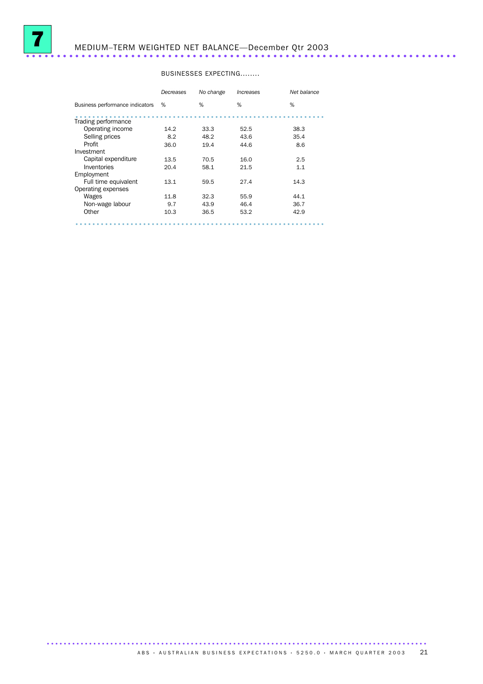

# <sup>7</sup> MEDIUM–TERM WEIGHTED NET BALANCE—December Qtr 2003 ......................................................................

#### BUSINESSES EXPECTING........

|                                 | Decreases | No change | Increases | Net balance |
|---------------------------------|-----------|-----------|-----------|-------------|
| Business performance indicators | %         | %         | %         | %           |
| Trading performance             |           |           |           |             |
| Operating income                | 14.2      | 33.3      | 52.5      | 38.3        |
| Selling prices                  | 8.2       | 48.2      | 43.6      | 35.4        |
| Profit                          | 36.0      | 19.4      | 44.6      | 8.6         |
| Investment                      |           |           |           |             |
| Capital expenditure             | 13.5      | 70.5      | 16.0      | 2.5         |
| Inventories                     | 20.4      | 58.1      | 21.5      | 1.1         |
| Employment                      |           |           |           |             |
| Full time equivalent            | 13.1      | 59.5      | 27.4      | 14.3        |
| Operating expenses              |           |           |           |             |
| Wages                           | 11.8      | 32.3      | 55.9      | 44.1        |
| Non-wage labour                 | 9.7       | 43.9      | 46.4      | 36.7        |
| Other                           | 10.3      | 36.5      | 53.2      | 42.9        |
|                                 |           |           |           |             |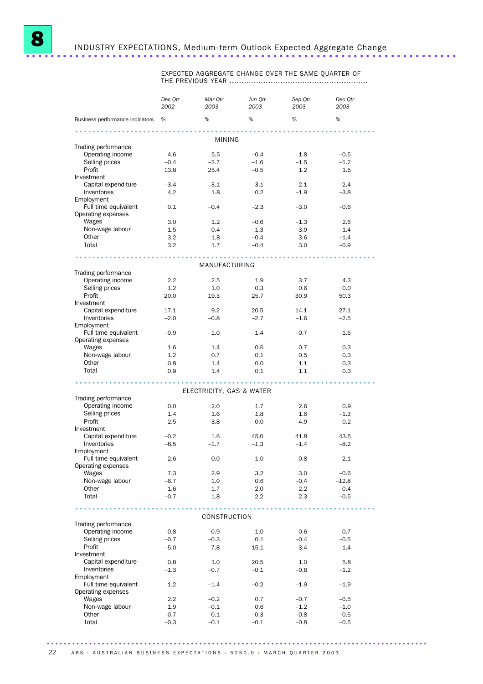

EXPECTED AGGREGATE CHANGE OVER THE SAME QUARTER OF THE PREVIOUS YEAR .........................................................

|                                    | Dec Qtr<br>2002  | Mar Qtr<br>2003          | Jun Qtr<br>2003 | Sep Qtr<br>2003 | Dec Qtr<br>2003  |  |
|------------------------------------|------------------|--------------------------|-----------------|-----------------|------------------|--|
| Business performance indicators %  |                  | %                        | $\%$            | %               | $\%$             |  |
|                                    |                  |                          |                 |                 |                  |  |
|                                    |                  | MINING                   |                 |                 |                  |  |
| Trading performance                |                  |                          |                 |                 |                  |  |
| Operating income                   | 4.6              | 5.5                      | $-0.4$          | 1.8             | $-0.5$           |  |
| Selling prices                     | $-0.4$           | $-2.7$                   | $-1.6$          | $-1.5$          | $-1.2$           |  |
| Profit<br>Investment               | 13.8             | 25.4                     | $-0.5$          | 1.2             | 1.5              |  |
| Capital expenditure                | $-3.4$           | 3.1                      | 3.1             | $-2.1$          | $-2.4$           |  |
| Inventories                        | 4.2              | 1.8                      | 0.2             | $-1.9$          | $-3.8$           |  |
| Employment                         |                  |                          |                 |                 |                  |  |
| Full time equivalent               | 0.1              | $-0.4$                   | $-2.3$          | $-3.0$          | $-0.6$           |  |
| Operating expenses                 |                  |                          |                 |                 |                  |  |
| Wages                              | 3.0              | 1.2                      | $-0.6$          | $-1.3$          | 2.6              |  |
| Non-wage labour                    | 1.5              | 0.4                      | $-1.3$          | $-3.9$          | 1.4              |  |
| Other                              | 3.2              | 1.8                      | $-0.4$          | 3.6             | $-1.4$           |  |
| Total                              | 3.2              | 1.7                      | $-0.4$          | 3.0             | $-0.9$           |  |
|                                    |                  | MANUFACTURING            |                 |                 |                  |  |
| Trading performance                |                  |                          |                 |                 |                  |  |
| Operating income                   | 2.2              | 2.5                      | 1.9             | 3.7             | 4.3              |  |
| Selling prices                     | 1.2              | 1.0                      | 0.3             | 0.6             | 0.0              |  |
| Profit                             | 20.0             | 19.3                     | 25.7            | 30.9            | 50.3             |  |
| Investment                         |                  |                          |                 |                 |                  |  |
| Capital expenditure                | 17.1             | 9.2                      | 20.5            | 14.1            | 27.1             |  |
| Inventories                        | $-2.0$           | $-0.8$                   | $-2.7$          | $-1.6$          | $-2.5$           |  |
| Employment<br>Full time equivalent |                  |                          |                 |                 |                  |  |
| Operating expenses                 | $-0.9$           | $-1.0$                   | $-1.4$          | $-0.7$          | $-1.6$           |  |
| Wages                              | 1.6              | 1.4                      | 0.6             | 0.7             | 0.3              |  |
| Non-wage labour                    | 1.2              | 0.7                      | 0.1             | 0.5             | 0.3              |  |
| Other                              | 0.8              | 1.4                      | 0.0             | 1.1             | 0.3              |  |
| Total                              | 0.9              | 1.4                      | 0.1             | 1.1             | 0.3              |  |
|                                    |                  |                          |                 |                 |                  |  |
|                                    |                  | ELECTRICITY, GAS & WATER |                 |                 |                  |  |
| Trading performance                |                  |                          |                 |                 |                  |  |
| Operating income                   | 0.0              | 2.0                      | 1.7             | 2.6             | 0.9              |  |
| Selling prices<br>Profit           | 1.4              | 1.6<br>3.8               | 1.8             | $1.6\,$         | $-1.3$<br>0.2    |  |
| Investment                         | 2.5              |                          | 0.0             | 4.9             |                  |  |
| Capital expenditure                | $-0.2$           | 1.6                      | 45.0            | 41.8            | 43.5             |  |
| Inventories                        | $-8.5$           | $-1.7$                   | $-1.3$          | $-1.4$          | $-8.2$           |  |
| Employment                         |                  |                          |                 |                 |                  |  |
| Full time equivalent               | $-2.6$           | 0.0                      | $-1.0$          | $-0.8$          | $-2.1$           |  |
| Operating expenses                 |                  |                          |                 |                 |                  |  |
| Wages                              | 7.3              | 2.9                      | 3.2             | 3.0             | $-0.6$           |  |
| Non-wage labour<br>Other           | $-6.7$           | 1.0                      | 0.6             | $-0.4$          | $-12.8$          |  |
| Total                              | $-1.6$<br>$-0.7$ | 1.7<br>1.8               | 2.0<br>2.2      | $2.2\,$<br>2.3  | $-0.4$<br>$-0.5$ |  |
|                                    |                  |                          |                 |                 |                  |  |
|                                    |                  |                          |                 |                 |                  |  |
| Trading performance                |                  | CONSTRUCTION             |                 |                 |                  |  |
| Operating income                   | $-0.8$           | 0.9                      | 1.0             | $-0.6$          | $-0.7$           |  |
| Selling prices                     | $-0.7$           | $-0.3$                   | 0.1             | $-0.4$          | $-0.5$           |  |
| Profit                             | $-5.0$           | 7.8                      | 15.1            | 3.4             | $-1.4$           |  |
| Investment                         |                  |                          |                 |                 |                  |  |
| Capital expenditure                | 0.8              | 1.0                      | 20.5            | 1.0             | 5.8              |  |
| Inventories                        | $-1.3$           | $-0.7$                   | $-0.1$          | $-0.8$          | $-1.2$           |  |
| Employment                         |                  |                          |                 |                 |                  |  |
| Full time equivalent               | 1.2              | $-1.4$                   | $-0.2$          | $-1.9$          | $-1.9$           |  |
| Operating expenses<br>Wages        | 2.2              | $-0.2$                   | 0.7             | $-0.7$          | $-0.5$           |  |
| Non-wage labour                    | 1.9              | $-0.1$                   | 0.6             | $-1.2$          | $-1.0$           |  |
| Other                              | $-0.7$           | $-0.1$                   | $-0.3$          | $-0.8$          | $-0.5$           |  |
| Total                              | $-0.3$           | $-0.1$                   | $-0.1$          | $-0.8$          | $-0.5$           |  |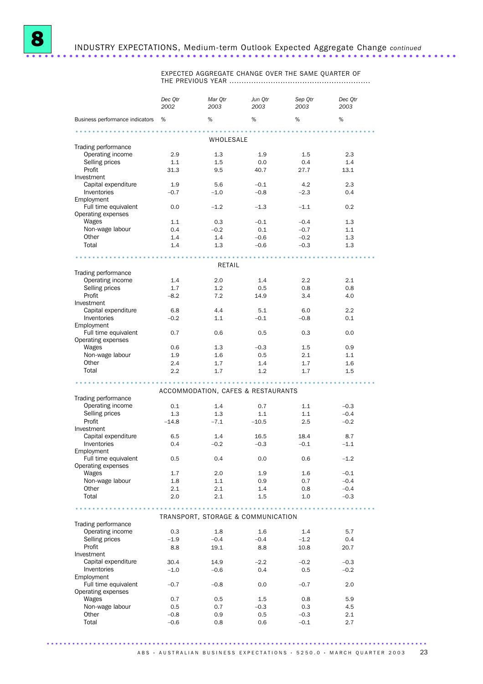

# 8 INDUSTRY EXPECTATIONS, Medium-term Outlook Expected Aggregate Change *continued* ......................................................................

EXPECTED AGGREGATE CHANGE OVER THE SAME QUARTER OF THE PREVIOUS YEAR ..........................................................

|                                            | Dec Qtr<br>2002 | Mar Qtr<br>2003                    | Jun Qtr<br>2003 | Sep Qtr<br>2003 | Dec Qtr<br>2003 |
|--------------------------------------------|-----------------|------------------------------------|-----------------|-----------------|-----------------|
| Business performance indicators %          |                 | %                                  | %               | %               | %               |
|                                            |                 |                                    |                 |                 |                 |
|                                            |                 | WHOLESALE                          |                 |                 |                 |
| Trading performance<br>Operating income    | 2.9             | 1.3                                | 1.9             | 1.5             | 2.3             |
| Selling prices                             | 1.1             | 1.5                                | 0.0             | 0.4             | 1.4             |
| Profit                                     | 31.3            | 9.5                                | 40.7            | 27.7            | 13.1            |
| Investment                                 |                 |                                    |                 |                 |                 |
| Capital expenditure                        | 1.9             | 5.6                                | $-0.1$          | 4.2             | 2.3             |
| Inventories                                | $-0.7$          | $-1.0$                             | $-0.8$          | $-2.3$          | 0.4             |
| Employment                                 |                 |                                    |                 |                 |                 |
| Full time equivalent<br>Operating expenses | 0.0             | $-1.2$                             | $-1.3$          | $-1.1$          | 0.2             |
| Wages                                      | 1.1             | 0.3                                | $-0.1$          | $-0.4$          | 1.3             |
| Non-wage labour                            | 0.4             | $-0.2$                             | 0.1             | $-0.7$          | 1.1             |
| Other                                      | 1.4             | 1.4                                | $-0.6$          | $-0.2$          | 1.3             |
| Total                                      | 1.4             | 1.3                                | $-0.6$          | $-0.3$          | 1.3             |
|                                            |                 |                                    |                 |                 |                 |
|                                            |                 | RETAIL                             |                 |                 |                 |
| Trading performance                        |                 |                                    |                 |                 |                 |
| Operating income                           | 1.4             | 2.0                                | 1.4             | 2.2             | 2.1             |
| Selling prices                             | 1.7             | 1.2                                | 0.5             | 0.8             | 0.8             |
| Profit<br>Investment                       | $-8.2$          | 7.2                                | 14.9            | 3.4             | 4.0             |
| Capital expenditure                        | 6.8             | 4.4                                | 5.1             | 6.0             | 2.2             |
| Inventories                                | $-0.2$          | 1.1                                | $-0.1$          | $-0.8$          | 0.1             |
| Employment                                 |                 |                                    |                 |                 |                 |
| Full time equivalent                       | 0.7             | 0.6                                | 0.5             | 0.3             | 0.0             |
| Operating expenses                         |                 |                                    |                 |                 |                 |
| Wages                                      | 0.6             | 1.3                                | $-0.3$          | 1.5             | 0.9             |
| Non-wage labour<br>Other                   | 1.9<br>2.4      | 1.6<br>1.7                         | 0.5<br>1.4      | 2.1<br>1.7      | 1.1<br>1.6      |
| Total                                      | 2.2             | 1.7                                | 1.2             | 1.7             | 1.5             |
|                                            |                 |                                    |                 |                 |                 |
|                                            |                 | ACCOMMODATION, CAFES & RESTAURANTS |                 |                 |                 |
| Trading performance                        |                 |                                    |                 |                 |                 |
| Operating income                           | 0.1             | 1.4                                | 0.7             | 1.1             | $-0.3$          |
| Selling prices                             | 1.3             | 1.3                                | 1.1             | 1.1             | $-0.4$          |
| Profit                                     | $-14.8$         | $-7.1$                             | $-10.5$         | 2.5             | $-0.2$          |
| Investment                                 |                 |                                    |                 |                 |                 |
| Capital expenditure                        | 6.5             | 1.4                                | 16.5            | 18.4            | 8.7             |
| Inventories<br>Employment                  | 0.4             | $-0.2$                             | $-0.3$          | $-0.1$          | $-1.1$          |
| Full time equivalent                       | 0.5             | 0.4                                | 0.0             | 0.6             | $-1.2$          |
| Operating expenses                         |                 |                                    |                 |                 |                 |
| Wages                                      | 1.7             | 2.0                                | 1.9             | 1.6             | $-0.1$          |
| Non-wage labour                            | 1.8             | 1.1                                | 0.9             | 0.7             | $-0.4$          |
| Other                                      | 2.1             | 2.1                                | 1.4             | 0.8             | $-0.4$          |
| Total                                      | 2.0             | 2.1                                | 1.5             | 1.0             | $-0.3$          |
|                                            |                 |                                    |                 |                 |                 |
|                                            |                 | TRANSPORT, STORAGE & COMMUNICATION |                 |                 |                 |
| Trading performance                        |                 |                                    |                 |                 |                 |
| Operating income<br>Selling prices         | 0.3<br>$-1.9$   | 1.8<br>$-0.4$                      | 1.6<br>$-0.4$   | 1.4<br>$-1.2$   | 5.7<br>0.4      |
| Profit                                     | 8.8             | 19.1                               | 8.8             | 10.8            | 20.7            |
| Investment                                 |                 |                                    |                 |                 |                 |
| Capital expenditure                        | 30.4            | 14.9                               | $-2.2$          | $-0.2$          | $-0.3$          |
| <b>Inventories</b>                         | $-1.0$          | $-0.6$                             | 0.4             | 0.5             | $-0.2$          |
| Employment                                 |                 |                                    |                 |                 |                 |
| Full time equivalent<br>Operating expenses | $-0.7$          | $-0.8$                             | 0.0             | $-0.7$          | 2.0             |
| Wages                                      | 0.7             | 0.5                                | $1.5\,$         | 0.8             | 5.9             |
| Non-wage labour                            | 0.5             | 0.7                                | $-0.3$          | 0.3             | 4.5             |
| Other                                      | $-0.8$          | 0.9                                | 0.5             | $-0.3$          | 2.1             |
| Total                                      | $-0.6$          | 0.8                                | 0.6             | $-0.1$          | 2.7             |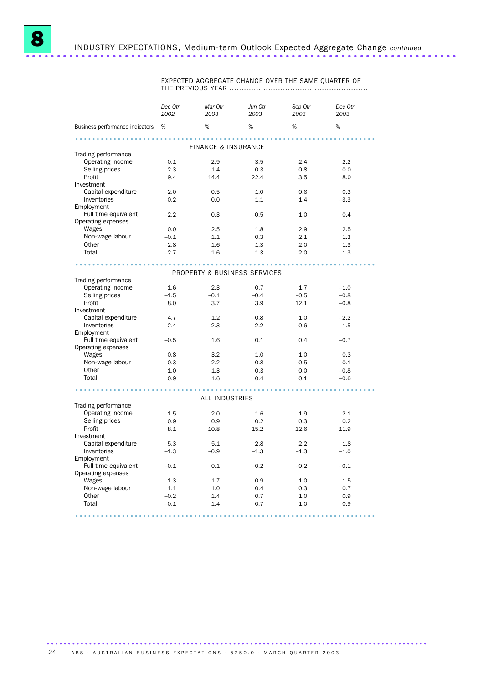

EXPECTED AGGREGATE CHANGE OVER THE SAME QUARTER OF THE PREVIOUS YEAR .........................................................

|                                   | Dec Otr<br>2002 | Mar Otr<br>2003                         | Jun Otr<br>2003 | Sep Otr<br>2003 | Dec Otr<br>2003 |
|-----------------------------------|-----------------|-----------------------------------------|-----------------|-----------------|-----------------|
| Business performance indicators % |                 | %                                       | %               | %               | %               |
|                                   |                 |                                         | . <b>.</b>      |                 |                 |
|                                   |                 | <b>FINANCE &amp; INSURANCE</b>          |                 |                 |                 |
| Trading performance               | $-0.1$          | 2.9                                     | 3.5             | 2.4             | 2.2             |
| Operating income                  |                 | 1.4                                     |                 |                 |                 |
| Selling prices                    | 2.3             |                                         | 0.3             | 0.8             | 0.0             |
| Profit                            | 9.4             | 14.4                                    | 22.4            | 3.5             | 8.0             |
| Investment                        |                 |                                         |                 |                 |                 |
| Capital expenditure               | $-2.0$          | 0.5                                     | 1.0             | 0.6             | 0.3             |
| Inventories                       | $-0.2$          | 0.0                                     | 1.1             | 1.4             | $-3.3$          |
| Employment                        |                 |                                         |                 |                 |                 |
| Full time equivalent              | $-2.2$          | 0.3                                     | $-0.5$          | 1.0             | 0.4             |
| Operating expenses                | 0.0             | 2.5                                     | 1.8             | 2.9             | 2.5             |
| Wages                             |                 |                                         |                 |                 |                 |
| Non-wage labour                   | $-0.1$          | 1.1                                     | 0.3             | 2.1             | 1.3             |
| Other                             | $-2.8$          | 1.6                                     | 1.3             | 2.0             | 1.3             |
| Total                             | $-2.7$          | 1.6                                     | 1.3             | 2.0             | 1.3             |
|                                   |                 |                                         |                 |                 |                 |
|                                   |                 | <b>PROPERTY &amp; BUSINESS SERVICES</b> |                 |                 |                 |
| Trading performance               |                 |                                         |                 |                 |                 |
| Operating income                  | 1.6             | 2.3                                     | 0.7             | 1.7             | $-1.0$          |
| Selling prices                    | $-1.5$          | $-0.1$                                  | $-0.4$          | $-0.5$          | $-0.8$          |
| Profit                            | 8.0             | 3.7                                     | 3.9             | 12.1            | $-0.8$          |
| Investment                        |                 |                                         |                 |                 |                 |
| Capital expenditure               | 4.7             | 1.2                                     | $-0.8$          | 1.0             | $-2.2$          |
| Inventories                       | $-2.4$          | $-2.3$                                  | $-2.2$          | $-0.6$          | $-1.5$          |
| Employment                        |                 |                                         |                 |                 |                 |
| Full time equivalent              | $-0.5$          | 1.6                                     | 0.1             | 0.4             | $-0.7$          |
| Operating expenses                |                 |                                         |                 |                 |                 |
| Wages                             | 0.8             | 3.2                                     | 1.0             | 1.0             | 0.3             |
| Non-wage labour                   | 0.3             | 2.2                                     | 0.8             | 0.5             | 0.1             |
| Other                             | 1.0             | 1.3                                     | 0.3             | 0.0             | $-0.8$          |
| Total                             | 0.9             | 1.6                                     | 0.4             | 0.1             | $-0.6$          |
|                                   |                 |                                         |                 |                 |                 |
|                                   |                 | <b>ALL INDUSTRIES</b>                   |                 |                 |                 |
| Trading performance               |                 |                                         |                 |                 |                 |
| Operating income                  | 1.5             | 2.0                                     | 1.6             | 1.9             | 2.1             |
| Selling prices                    | 0.9             | 0.9                                     | 0.2             | 0.3             | 0.2             |
| Profit                            | 8.1             | 10.8                                    | 15.2            | 12.6            | 11.9            |
| Investment                        |                 |                                         |                 |                 |                 |
| Capital expenditure               | 5.3             | 5.1                                     | 2.8             | 2.2             | 1.8             |
| Inventories                       | $-1.3$          | $-0.9$                                  | $-1.3$          | $-1.3$          | $-1.0$          |
| Employment                        |                 |                                         |                 |                 |                 |
| Full time equivalent              | $-0.1$          | 0.1                                     | $-0.2$          | $-0.2$          | $-0.1$          |
| Operating expenses                |                 |                                         |                 |                 |                 |
| Wages                             | 1.3             | 1.7                                     | 0.9             | 1.0             | 1.5             |
| Non-wage labour                   | 1.1             | 1.0                                     | 0.4             | 0.3             | 0.7             |
| Other                             | $-0.2$          | 1.4                                     | 0.7             | 1.0             | 0.9             |
| Total                             | $-0.1$          | 1.4                                     | 0.7             | 1.0             | 0.9             |
|                                   |                 |                                         |                 |                 |                 |
|                                   |                 |                                         |                 | .               |                 |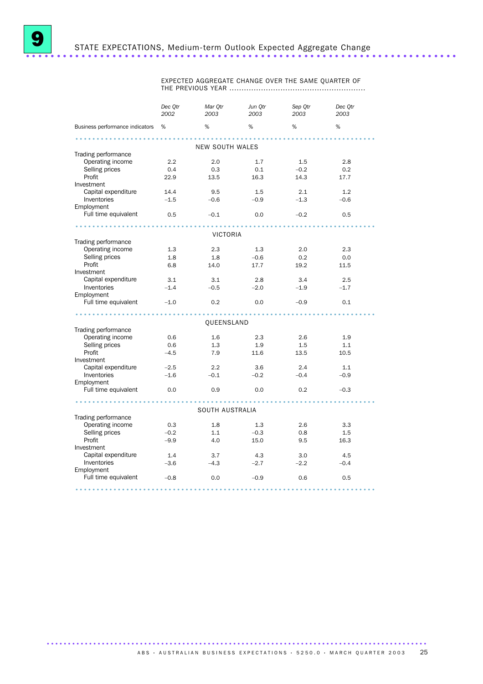EXPECTED AGGREGATE CHANGE OVER THE SAME QUARTER OF THE PREVIOUS YEAR ........................................................

|                                   | Dec Qtr<br>2002 | Mar Qtr<br>2003 | Jun Qtr<br>2003 | Sep Qtr<br>2003 | Dec Qtr<br>2003 |
|-----------------------------------|-----------------|-----------------|-----------------|-----------------|-----------------|
| Business performance indicators % |                 | %               | %               | %               | %               |
| .                                 |                 | NEW SOUTH WALES |                 |                 |                 |
| Trading performance               |                 |                 |                 |                 |                 |
| Operating income                  | 2.2             | 2.0             | 1.7             | 1.5             | 2.8             |
| Selling prices                    | 0.4             | 0.3             | 0.1             | $-0.2$          | 0.2             |
| Profit                            | 22.9            | 13.5            | 16.3            | 14.3            | 17.7            |
| Investment                        |                 |                 |                 |                 |                 |
| Capital expenditure               | 14.4            | 9.5             | 1.5             | 2.1             | 1.2             |
| Inventories                       | $-1.5$          | $-0.6$          | $-0.9$          | $-1.3$          | $-0.6$          |
| Employment                        |                 |                 |                 |                 |                 |
| Full time equivalent              | 0.5             | $-0.1$          | 0.0             | $-0.2$          | 0.5             |
|                                   |                 |                 |                 |                 |                 |
|                                   |                 | <b>VICTORIA</b> |                 |                 |                 |
| Trading performance               |                 |                 |                 |                 |                 |
| Operating income                  | 1.3             | 2.3             | 1.3             | 2.0             | 2.3             |
| Selling prices<br>Profit          | 1.8             | 1.8             | $-0.6$          | 0.2             | 0.0             |
| Investment                        | 6.8             | 14.0            | 17.7            | 19.2            | 11.5            |
| Capital expenditure               | 3.1             | 3.1             | 2.8             | 3.4             | 2.5             |
| Inventories                       | $-1.4$          | $-0.5$          | $-2.0$          | $-1.9$          | $-1.7$          |
| Employment                        |                 |                 |                 |                 |                 |
| Full time equivalent              | $-1.0$          | 0.2             | 0.0             | $-0.9$          | 0.1             |
| . <i>.</i>                        |                 | .               |                 |                 |                 |
|                                   |                 | QUEENSLAND      |                 |                 |                 |
| Trading performance               |                 |                 |                 |                 |                 |
| Operating income                  | 0.6             | 1.6             | 2.3             | 2.6             | 1.9             |
| Selling prices                    | 0.6             | 1.3             | 1.9             | 1.5             | 1.1             |
| Profit                            | $-4.5$          | 7.9             | 11.6            | 13.5            | 10.5            |
| Investment                        |                 |                 |                 |                 |                 |
| Capital expenditure               | $-2.5$          | $2.2^{\circ}$   | 3.6             | 2.4             | 1.1             |
| Inventories                       | $-1.6$          | $-0.1$          | $-0.2$          | $-0.4$          | $-0.9$          |
| Employment                        |                 |                 |                 |                 |                 |
| Full time equivalent              | 0.0             | 0.9             | 0.0             | 0.2             | $-0.3$          |
| .<br>SOUTH AUSTRALIA              |                 |                 |                 |                 |                 |
| Trading performance               |                 |                 |                 |                 |                 |
| Operating income                  | 0.3             | 1.8             | 1.3             | 2.6             | 3.3             |
| Selling prices                    | $-0.2$          | 1.1             | $-0.3$          | 0.8             | 1.5             |
| Profit                            | $-9.9$          | 4.0             | 15.0            | 9.5             | 16.3            |
| Investment                        |                 |                 |                 |                 |                 |
| Capital expenditure               | 1.4             | 3.7             | 4.3             | 3.0             | 4.5             |
| Inventories                       | $-3.6$          | $-4.3$          | $-2.7$          | $-2.2$          | $-0.4$          |
| Employment                        |                 |                 |                 |                 |                 |
| Full time equivalent              | $-0.8$          | 0.0             | $-0.9$          | 0.6             | 0.5             |
|                                   |                 |                 |                 |                 |                 |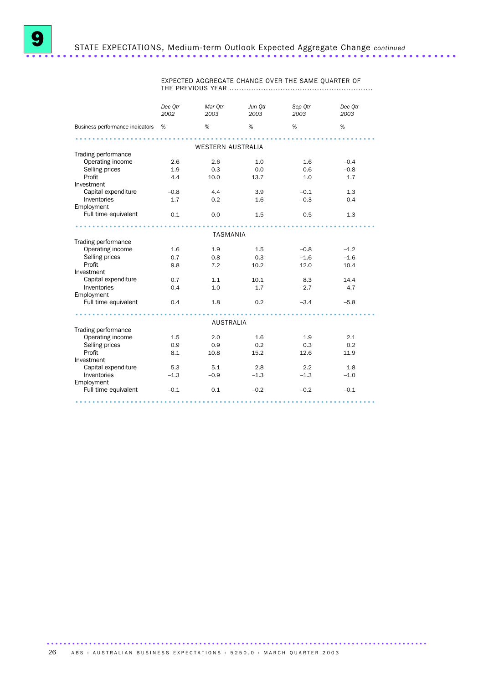EXPECTED AGGREGATE CHANGE OVER THE SAME QUARTER OF THE PREVIOUS YEAR ...........................................................

|                                 | Dec Otr<br>2002 | Mar Otr<br>2003          | Jun Otr<br>2003 | Sep Qtr<br>2003 | Dec Otr<br>2003 |
|---------------------------------|-----------------|--------------------------|-----------------|-----------------|-----------------|
| Business performance indicators | %               | %                        | %               | %               | %               |
|                                 |                 |                          |                 |                 |                 |
|                                 |                 | <b>WESTERN AUSTRALIA</b> |                 |                 |                 |
| Trading performance             |                 |                          |                 |                 |                 |
| Operating income                | 2.6             | 2.6                      | 1.0             | 1.6             | $-0.4$          |
| Selling prices                  | 1.9             | 0.3                      | 0.0             | 0.6             | $-0.8$          |
| Profit                          | 4.4             | 10.0                     | 13.7            | 1.0             | 1.7             |
| Investment                      |                 |                          |                 |                 |                 |
| Capital expenditure             | $-0.8$          | 4.4                      | 3.9             | $-0.1$          | 1.3             |
| Inventories                     | 1.7             | 0.2                      | $-1.6$          | $-0.3$          | $-0.4$          |
| Employment                      |                 |                          |                 |                 |                 |
| Full time equivalent            | 0.1             | 0.0                      | $-1.5$          | 0.5             | $-1.3$          |
|                                 |                 |                          |                 |                 |                 |
|                                 |                 | <b>TASMANIA</b>          |                 |                 |                 |
| Trading performance             |                 |                          |                 |                 |                 |
| Operating income                | 1.6             | 1.9                      | 1.5             | $-0.8$          | $-1.2$          |
| Selling prices                  | 0.7             | 0.8                      | 0.3             | $-1.6$          | $-1.6$          |
| Profit                          | 9.8             | 7.2                      | 10.2            | 12.0            | 10.4            |
| Investment                      |                 |                          |                 |                 |                 |
| Capital expenditure             | 0.7             | 1.1                      | 10.1            | 8.3             | 14.4            |
| Inventories                     | $-0.4$          | $-1.0$                   | $-1.7$          | $-2.7$          | $-4.7$          |
| Employment                      |                 |                          |                 |                 |                 |
| Full time equivalent            | 0.4             | 1.8                      | 0.2             | $-3.4$          | $-5.8$          |
|                                 |                 |                          |                 |                 |                 |
|                                 |                 | <b>AUSTRALIA</b>         |                 |                 |                 |
| Trading performance             |                 |                          |                 |                 |                 |
| Operating income                | 1.5             | 2.0                      | 1.6             | 1.9             | 2.1             |
| Selling prices                  | 0.9             | 0.9                      | 0.2             | 0.3             | 0.2             |
| Profit                          | 8.1             | 10.8                     | 15.2            | 12.6            | 11.9            |
| Investment                      |                 |                          |                 |                 |                 |
| Capital expenditure             | 5.3             | 5.1                      | 2.8             | 2.2             | 1.8             |
| Inventories                     | $-1.3$          | $-0.9$                   | $-1.3$          | $-1.3$          | $-1.0$          |
| Employment                      |                 |                          |                 |                 |                 |
| Full time equivalent            | $-0.1$          | 0.1                      | $-0.2$          | $-0.2$          | $-0.1$          |
|                                 |                 |                          |                 |                 |                 |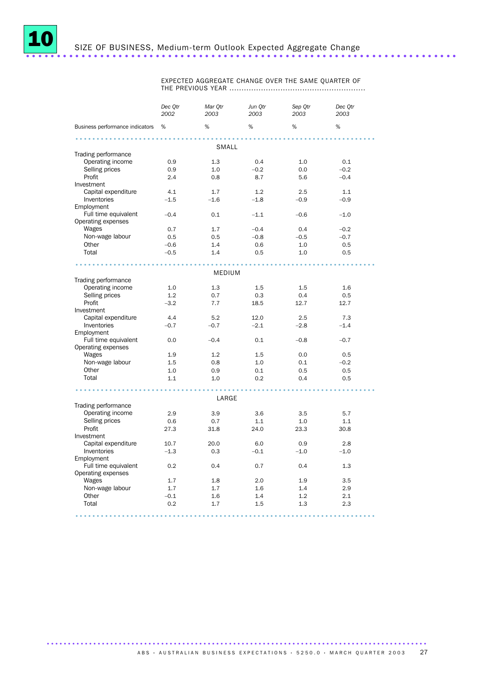

EXPECTED AGGREGATE CHANGE OVER THE SAME QUARTER OF THE PREVIOUS YEAR ........................................................

| Business performance indicators %<br>%<br>%<br>%<br>%<br>SMALL<br>Trading performance<br>Operating income<br>1.3<br>0.9<br>0.4<br>1.0<br>0.1<br>Selling prices<br>0.9<br>1.0<br>$-0.2$<br>$-0.2$<br>0.0<br>Profit<br>2.4<br>0.8<br>5.6<br>$-0.4$<br>8.7<br>Investment<br>Capital expenditure<br>4.1<br>1.7<br>1.2<br>2.5<br>1.1<br>Inventories<br>$-1.5$<br>$-1.6$<br>$-1.8$<br>$-0.9$<br>$-0.9$<br>Employment<br>Full time equivalent<br>$-0.4$<br>0.1<br>$-1.1$<br>$-0.6$<br>$-1.0$<br>Operating expenses<br>Wages<br>0.7<br>1.7<br>$-0.4$<br>0.4<br>$-0.2$<br>Non-wage labour<br>0.5<br>0.5<br>$-0.8$<br>$-0.5$<br>$-0.7$<br>Other<br>1.4<br>0.5<br>$-0.6$<br>0.6<br>1.0<br>Total<br>$-0.5$<br>0.5<br>1.4<br>0.5<br>1.0<br><b>MEDIUM</b><br>Trading performance<br>Operating income<br>1.3<br>1.6<br>1.0<br>1.5<br>1.5<br>Selling prices<br>1.2<br>0.7<br>0.3<br>0.4<br>0.5<br>Profit<br>$-3.2$<br>7.7<br>12.7<br>12.7<br>18.5<br>Investment<br>Capital expenditure<br>4.4<br>7.3<br>5.2<br>12.0<br>2.5<br>Inventories<br>$-0.7$<br>$-0.7$<br>$-2.1$<br>$-2.8$<br>$-1.4$<br>Employment<br>Full time equivalent<br>0.0<br>$-0.4$<br>0.1<br>$-0.8$<br>$-0.7$<br>Operating expenses<br>Wages<br>1.9<br>1.2<br>1.5<br>0.5<br>0.0<br>Non-wage labour<br>1.5<br>0.8<br>1.0<br>$-0.2$<br>0.1<br>Other<br>0.9<br>0.5<br>1.0<br>0.1<br>0.5<br>Total<br>1.1<br>1.0<br>0.2<br>0.4<br>0.5<br>LARGE<br>Trading performance<br>Operating income<br>2.9<br>3.9<br>3.6<br>3.5<br>5.7<br>Selling prices<br>0.7<br>1.1<br>0.6<br>1.1<br>1.0<br>Profit<br>27.3<br>31.8<br>24.0<br>23.3<br>30.8<br>Investment<br>Capital expenditure<br>2.8<br>10.7<br>20.0<br>6.0<br>0.9<br>Inventories<br>$-1.3$<br>0.3<br>$-0.1$<br>$-1.0$<br>$-1.0$<br>Employment<br>Full time equivalent<br>0.2<br>0.4<br>0.7<br>0.4<br>1.3<br>Operating expenses |       | 2002 | 2003 | 2003 | Sep Otr<br>2003 | Dec Otr<br>2003 |  |
|-----------------------------------------------------------------------------------------------------------------------------------------------------------------------------------------------------------------------------------------------------------------------------------------------------------------------------------------------------------------------------------------------------------------------------------------------------------------------------------------------------------------------------------------------------------------------------------------------------------------------------------------------------------------------------------------------------------------------------------------------------------------------------------------------------------------------------------------------------------------------------------------------------------------------------------------------------------------------------------------------------------------------------------------------------------------------------------------------------------------------------------------------------------------------------------------------------------------------------------------------------------------------------------------------------------------------------------------------------------------------------------------------------------------------------------------------------------------------------------------------------------------------------------------------------------------------------------------------------------------------------------------------------------------------------------------------------------------------------------------------------------------------------------------------------------------------|-------|------|------|------|-----------------|-----------------|--|
|                                                                                                                                                                                                                                                                                                                                                                                                                                                                                                                                                                                                                                                                                                                                                                                                                                                                                                                                                                                                                                                                                                                                                                                                                                                                                                                                                                                                                                                                                                                                                                                                                                                                                                                                                                                                                       |       |      |      |      |                 |                 |  |
|                                                                                                                                                                                                                                                                                                                                                                                                                                                                                                                                                                                                                                                                                                                                                                                                                                                                                                                                                                                                                                                                                                                                                                                                                                                                                                                                                                                                                                                                                                                                                                                                                                                                                                                                                                                                                       |       |      |      |      |                 |                 |  |
|                                                                                                                                                                                                                                                                                                                                                                                                                                                                                                                                                                                                                                                                                                                                                                                                                                                                                                                                                                                                                                                                                                                                                                                                                                                                                                                                                                                                                                                                                                                                                                                                                                                                                                                                                                                                                       |       |      |      |      |                 |                 |  |
|                                                                                                                                                                                                                                                                                                                                                                                                                                                                                                                                                                                                                                                                                                                                                                                                                                                                                                                                                                                                                                                                                                                                                                                                                                                                                                                                                                                                                                                                                                                                                                                                                                                                                                                                                                                                                       |       |      |      |      |                 |                 |  |
|                                                                                                                                                                                                                                                                                                                                                                                                                                                                                                                                                                                                                                                                                                                                                                                                                                                                                                                                                                                                                                                                                                                                                                                                                                                                                                                                                                                                                                                                                                                                                                                                                                                                                                                                                                                                                       |       |      |      |      |                 |                 |  |
|                                                                                                                                                                                                                                                                                                                                                                                                                                                                                                                                                                                                                                                                                                                                                                                                                                                                                                                                                                                                                                                                                                                                                                                                                                                                                                                                                                                                                                                                                                                                                                                                                                                                                                                                                                                                                       |       |      |      |      |                 |                 |  |
|                                                                                                                                                                                                                                                                                                                                                                                                                                                                                                                                                                                                                                                                                                                                                                                                                                                                                                                                                                                                                                                                                                                                                                                                                                                                                                                                                                                                                                                                                                                                                                                                                                                                                                                                                                                                                       |       |      |      |      |                 |                 |  |
|                                                                                                                                                                                                                                                                                                                                                                                                                                                                                                                                                                                                                                                                                                                                                                                                                                                                                                                                                                                                                                                                                                                                                                                                                                                                                                                                                                                                                                                                                                                                                                                                                                                                                                                                                                                                                       |       |      |      |      |                 |                 |  |
|                                                                                                                                                                                                                                                                                                                                                                                                                                                                                                                                                                                                                                                                                                                                                                                                                                                                                                                                                                                                                                                                                                                                                                                                                                                                                                                                                                                                                                                                                                                                                                                                                                                                                                                                                                                                                       |       |      |      |      |                 |                 |  |
|                                                                                                                                                                                                                                                                                                                                                                                                                                                                                                                                                                                                                                                                                                                                                                                                                                                                                                                                                                                                                                                                                                                                                                                                                                                                                                                                                                                                                                                                                                                                                                                                                                                                                                                                                                                                                       |       |      |      |      |                 |                 |  |
|                                                                                                                                                                                                                                                                                                                                                                                                                                                                                                                                                                                                                                                                                                                                                                                                                                                                                                                                                                                                                                                                                                                                                                                                                                                                                                                                                                                                                                                                                                                                                                                                                                                                                                                                                                                                                       |       |      |      |      |                 |                 |  |
|                                                                                                                                                                                                                                                                                                                                                                                                                                                                                                                                                                                                                                                                                                                                                                                                                                                                                                                                                                                                                                                                                                                                                                                                                                                                                                                                                                                                                                                                                                                                                                                                                                                                                                                                                                                                                       |       |      |      |      |                 |                 |  |
|                                                                                                                                                                                                                                                                                                                                                                                                                                                                                                                                                                                                                                                                                                                                                                                                                                                                                                                                                                                                                                                                                                                                                                                                                                                                                                                                                                                                                                                                                                                                                                                                                                                                                                                                                                                                                       |       |      |      |      |                 |                 |  |
|                                                                                                                                                                                                                                                                                                                                                                                                                                                                                                                                                                                                                                                                                                                                                                                                                                                                                                                                                                                                                                                                                                                                                                                                                                                                                                                                                                                                                                                                                                                                                                                                                                                                                                                                                                                                                       |       |      |      |      |                 |                 |  |
|                                                                                                                                                                                                                                                                                                                                                                                                                                                                                                                                                                                                                                                                                                                                                                                                                                                                                                                                                                                                                                                                                                                                                                                                                                                                                                                                                                                                                                                                                                                                                                                                                                                                                                                                                                                                                       |       |      |      |      |                 |                 |  |
|                                                                                                                                                                                                                                                                                                                                                                                                                                                                                                                                                                                                                                                                                                                                                                                                                                                                                                                                                                                                                                                                                                                                                                                                                                                                                                                                                                                                                                                                                                                                                                                                                                                                                                                                                                                                                       |       |      |      |      |                 |                 |  |
|                                                                                                                                                                                                                                                                                                                                                                                                                                                                                                                                                                                                                                                                                                                                                                                                                                                                                                                                                                                                                                                                                                                                                                                                                                                                                                                                                                                                                                                                                                                                                                                                                                                                                                                                                                                                                       |       |      |      |      |                 |                 |  |
|                                                                                                                                                                                                                                                                                                                                                                                                                                                                                                                                                                                                                                                                                                                                                                                                                                                                                                                                                                                                                                                                                                                                                                                                                                                                                                                                                                                                                                                                                                                                                                                                                                                                                                                                                                                                                       |       |      |      |      |                 |                 |  |
|                                                                                                                                                                                                                                                                                                                                                                                                                                                                                                                                                                                                                                                                                                                                                                                                                                                                                                                                                                                                                                                                                                                                                                                                                                                                                                                                                                                                                                                                                                                                                                                                                                                                                                                                                                                                                       |       |      |      |      |                 |                 |  |
|                                                                                                                                                                                                                                                                                                                                                                                                                                                                                                                                                                                                                                                                                                                                                                                                                                                                                                                                                                                                                                                                                                                                                                                                                                                                                                                                                                                                                                                                                                                                                                                                                                                                                                                                                                                                                       |       |      |      |      |                 |                 |  |
|                                                                                                                                                                                                                                                                                                                                                                                                                                                                                                                                                                                                                                                                                                                                                                                                                                                                                                                                                                                                                                                                                                                                                                                                                                                                                                                                                                                                                                                                                                                                                                                                                                                                                                                                                                                                                       |       |      |      |      |                 |                 |  |
|                                                                                                                                                                                                                                                                                                                                                                                                                                                                                                                                                                                                                                                                                                                                                                                                                                                                                                                                                                                                                                                                                                                                                                                                                                                                                                                                                                                                                                                                                                                                                                                                                                                                                                                                                                                                                       |       |      |      |      |                 |                 |  |
|                                                                                                                                                                                                                                                                                                                                                                                                                                                                                                                                                                                                                                                                                                                                                                                                                                                                                                                                                                                                                                                                                                                                                                                                                                                                                                                                                                                                                                                                                                                                                                                                                                                                                                                                                                                                                       |       |      |      |      |                 |                 |  |
|                                                                                                                                                                                                                                                                                                                                                                                                                                                                                                                                                                                                                                                                                                                                                                                                                                                                                                                                                                                                                                                                                                                                                                                                                                                                                                                                                                                                                                                                                                                                                                                                                                                                                                                                                                                                                       |       |      |      |      |                 |                 |  |
|                                                                                                                                                                                                                                                                                                                                                                                                                                                                                                                                                                                                                                                                                                                                                                                                                                                                                                                                                                                                                                                                                                                                                                                                                                                                                                                                                                                                                                                                                                                                                                                                                                                                                                                                                                                                                       |       |      |      |      |                 |                 |  |
|                                                                                                                                                                                                                                                                                                                                                                                                                                                                                                                                                                                                                                                                                                                                                                                                                                                                                                                                                                                                                                                                                                                                                                                                                                                                                                                                                                                                                                                                                                                                                                                                                                                                                                                                                                                                                       |       |      |      |      |                 |                 |  |
|                                                                                                                                                                                                                                                                                                                                                                                                                                                                                                                                                                                                                                                                                                                                                                                                                                                                                                                                                                                                                                                                                                                                                                                                                                                                                                                                                                                                                                                                                                                                                                                                                                                                                                                                                                                                                       |       |      |      |      |                 |                 |  |
|                                                                                                                                                                                                                                                                                                                                                                                                                                                                                                                                                                                                                                                                                                                                                                                                                                                                                                                                                                                                                                                                                                                                                                                                                                                                                                                                                                                                                                                                                                                                                                                                                                                                                                                                                                                                                       |       |      |      |      |                 |                 |  |
|                                                                                                                                                                                                                                                                                                                                                                                                                                                                                                                                                                                                                                                                                                                                                                                                                                                                                                                                                                                                                                                                                                                                                                                                                                                                                                                                                                                                                                                                                                                                                                                                                                                                                                                                                                                                                       |       |      |      |      |                 |                 |  |
|                                                                                                                                                                                                                                                                                                                                                                                                                                                                                                                                                                                                                                                                                                                                                                                                                                                                                                                                                                                                                                                                                                                                                                                                                                                                                                                                                                                                                                                                                                                                                                                                                                                                                                                                                                                                                       |       |      |      |      |                 |                 |  |
|                                                                                                                                                                                                                                                                                                                                                                                                                                                                                                                                                                                                                                                                                                                                                                                                                                                                                                                                                                                                                                                                                                                                                                                                                                                                                                                                                                                                                                                                                                                                                                                                                                                                                                                                                                                                                       |       |      |      |      |                 |                 |  |
|                                                                                                                                                                                                                                                                                                                                                                                                                                                                                                                                                                                                                                                                                                                                                                                                                                                                                                                                                                                                                                                                                                                                                                                                                                                                                                                                                                                                                                                                                                                                                                                                                                                                                                                                                                                                                       |       |      |      |      |                 |                 |  |
|                                                                                                                                                                                                                                                                                                                                                                                                                                                                                                                                                                                                                                                                                                                                                                                                                                                                                                                                                                                                                                                                                                                                                                                                                                                                                                                                                                                                                                                                                                                                                                                                                                                                                                                                                                                                                       |       |      |      |      |                 |                 |  |
|                                                                                                                                                                                                                                                                                                                                                                                                                                                                                                                                                                                                                                                                                                                                                                                                                                                                                                                                                                                                                                                                                                                                                                                                                                                                                                                                                                                                                                                                                                                                                                                                                                                                                                                                                                                                                       |       |      |      |      |                 |                 |  |
|                                                                                                                                                                                                                                                                                                                                                                                                                                                                                                                                                                                                                                                                                                                                                                                                                                                                                                                                                                                                                                                                                                                                                                                                                                                                                                                                                                                                                                                                                                                                                                                                                                                                                                                                                                                                                       |       |      |      |      |                 |                 |  |
|                                                                                                                                                                                                                                                                                                                                                                                                                                                                                                                                                                                                                                                                                                                                                                                                                                                                                                                                                                                                                                                                                                                                                                                                                                                                                                                                                                                                                                                                                                                                                                                                                                                                                                                                                                                                                       |       |      |      |      |                 |                 |  |
|                                                                                                                                                                                                                                                                                                                                                                                                                                                                                                                                                                                                                                                                                                                                                                                                                                                                                                                                                                                                                                                                                                                                                                                                                                                                                                                                                                                                                                                                                                                                                                                                                                                                                                                                                                                                                       |       |      |      |      |                 |                 |  |
|                                                                                                                                                                                                                                                                                                                                                                                                                                                                                                                                                                                                                                                                                                                                                                                                                                                                                                                                                                                                                                                                                                                                                                                                                                                                                                                                                                                                                                                                                                                                                                                                                                                                                                                                                                                                                       |       |      |      |      |                 |                 |  |
|                                                                                                                                                                                                                                                                                                                                                                                                                                                                                                                                                                                                                                                                                                                                                                                                                                                                                                                                                                                                                                                                                                                                                                                                                                                                                                                                                                                                                                                                                                                                                                                                                                                                                                                                                                                                                       |       |      |      |      |                 |                 |  |
|                                                                                                                                                                                                                                                                                                                                                                                                                                                                                                                                                                                                                                                                                                                                                                                                                                                                                                                                                                                                                                                                                                                                                                                                                                                                                                                                                                                                                                                                                                                                                                                                                                                                                                                                                                                                                       |       |      |      |      |                 |                 |  |
|                                                                                                                                                                                                                                                                                                                                                                                                                                                                                                                                                                                                                                                                                                                                                                                                                                                                                                                                                                                                                                                                                                                                                                                                                                                                                                                                                                                                                                                                                                                                                                                                                                                                                                                                                                                                                       |       |      |      |      |                 |                 |  |
|                                                                                                                                                                                                                                                                                                                                                                                                                                                                                                                                                                                                                                                                                                                                                                                                                                                                                                                                                                                                                                                                                                                                                                                                                                                                                                                                                                                                                                                                                                                                                                                                                                                                                                                                                                                                                       |       |      |      |      |                 |                 |  |
|                                                                                                                                                                                                                                                                                                                                                                                                                                                                                                                                                                                                                                                                                                                                                                                                                                                                                                                                                                                                                                                                                                                                                                                                                                                                                                                                                                                                                                                                                                                                                                                                                                                                                                                                                                                                                       |       |      |      |      |                 |                 |  |
|                                                                                                                                                                                                                                                                                                                                                                                                                                                                                                                                                                                                                                                                                                                                                                                                                                                                                                                                                                                                                                                                                                                                                                                                                                                                                                                                                                                                                                                                                                                                                                                                                                                                                                                                                                                                                       |       |      |      |      |                 |                 |  |
|                                                                                                                                                                                                                                                                                                                                                                                                                                                                                                                                                                                                                                                                                                                                                                                                                                                                                                                                                                                                                                                                                                                                                                                                                                                                                                                                                                                                                                                                                                                                                                                                                                                                                                                                                                                                                       | Wages | 1.7  | 1.8  | 2.0  | 1.9             | 3.5             |  |
| Non-wage labour<br>2.9<br>1.7<br>1.7<br>1.6<br>1.4                                                                                                                                                                                                                                                                                                                                                                                                                                                                                                                                                                                                                                                                                                                                                                                                                                                                                                                                                                                                                                                                                                                                                                                                                                                                                                                                                                                                                                                                                                                                                                                                                                                                                                                                                                    |       |      |      |      |                 |                 |  |
| Other<br>$-0.1$<br>1.6<br>1.4<br>1.2<br>2.1                                                                                                                                                                                                                                                                                                                                                                                                                                                                                                                                                                                                                                                                                                                                                                                                                                                                                                                                                                                                                                                                                                                                                                                                                                                                                                                                                                                                                                                                                                                                                                                                                                                                                                                                                                           |       |      |      |      |                 |                 |  |
| Total<br>0.2<br>1.7<br>2.3<br>1.5<br>1.3                                                                                                                                                                                                                                                                                                                                                                                                                                                                                                                                                                                                                                                                                                                                                                                                                                                                                                                                                                                                                                                                                                                                                                                                                                                                                                                                                                                                                                                                                                                                                                                                                                                                                                                                                                              |       |      |      |      |                 |                 |  |
|                                                                                                                                                                                                                                                                                                                                                                                                                                                                                                                                                                                                                                                                                                                                                                                                                                                                                                                                                                                                                                                                                                                                                                                                                                                                                                                                                                                                                                                                                                                                                                                                                                                                                                                                                                                                                       |       |      |      |      |                 | .               |  |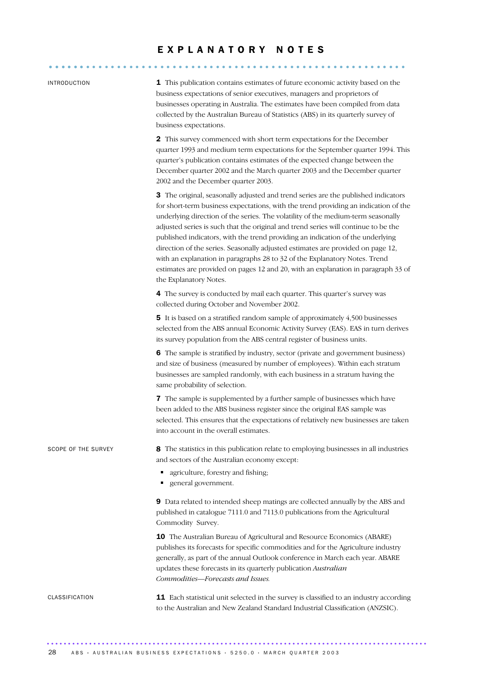# E X P L A N A T O R Y N O T E S .......................................................... ......

| INTRODUCTION |  |
|--------------|--|
|              |  |

1 This publication contains estimates of future economic activity based on the business expectations of senior executives, managers and proprietors of businesses operating in Australia. The estimates have been compiled from data collected by the Australian Bureau of Statistics (ABS) in its quarterly survey of business expectations.

2 This survey commenced with short term expectations for the December quarter 1993 and medium term expectations for the September quarter 1994. This quarter's publication contains estimates of the expected change between the December quarter 2002 and the March quarter 2003 and the December quarter 2002 and the December quarter 2003.

3 The original, seasonally adjusted and trend series are the published indicators for short-term business expectations, with the trend providing an indication of the underlying direction of the series. The volatility of the medium-term seasonally adjusted series is such that the original and trend series will continue to be the published indicators, with the trend providing an indication of the underlying direction of the series. Seasonally adjusted estimates are provided on page 12, with an explanation in paragraphs 28 to 32 of the Explanatory Notes. Trend estimates are provided on pages 12 and 20, with an explanation in paragraph 33 of the Explanatory Notes.

4 The survey is conducted by mail each quarter. This quarter's survey was collected during October and November 2002.

5 It is based on a stratified random sample of approximately 4,500 businesses selected from the ABS annual Economic Activity Survey (EAS). EAS in turn derives its survey population from the ABS central register of business units.

6 The sample is stratified by industry, sector (private and government business) and size of business (measured by number of employees). Within each stratum businesses are sampled randomly, with each business in a stratum having the same probability of selection.

7 The sample is supplemented by a further sample of businesses which have been added to the ABS business register since the original EAS sample was selected. This ensures that the expectations of relatively new businesses are taken into account in the overall estimates.

SCOPE OF THE SURVEY 8 The statistics in this publication relate to employing businesses in all industries and sectors of the Australian economy except:

- agriculture, forestry and fishing;
- general government.

9 Data related to intended sheep matings are collected annually by the ABS and published in catalogue 7111.0 and 7113.0 publications from the Agricultural Commodity Survey.

10 The Australian Bureau of Agricultural and Resource Economics (ABARE) publishes its forecasts for specific commodities and for the Agriculture industry generally, as part of the annual Outlook conference in March each year. ABARE updates these forecasts in its quarterly publication *Australian Commodities—Forecasts and Issues.*

CLASSIFICATION 11 Each statistical unit selected in the survey is classified to an industry according to the Australian and New Zealand Standard Industrial Classification (ANZSIC).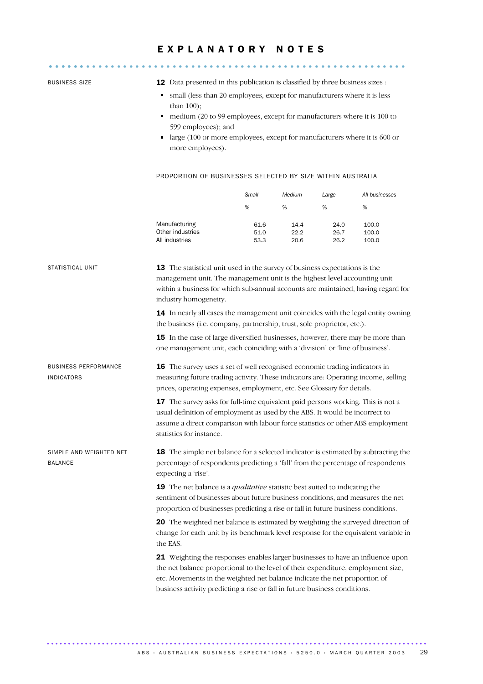## E X P L A N A T O R Y N O T E S .......................................................... ......

BUSINESS SIZE 12 Data presented in this publication is classified by three business sizes : • small (less than 20 employees, except for manufacturers where it is less than 100); medium (20 to 99 employees, except for manufacturers where it is 100 to 599 employees); and large (100 or more employees, except for manufacturers where it is 600 or more employees). PROPORTION OF BUSINESSES SELECTED BY SIZE WITHIN AUSTRALIA *Small Medium Large All businesses* %% % % Manufacturing 61.6 14.4 24.0 100.0 Other industries **51.0** 22.2 26.7 100.0 All industries 53.3 20.6 26.2 100.0 STATISTICAL UNIT 13 The statistical unit used in the survey of business expectations is the management unit. The management unit is the highest level accounting unit within a business for which sub-annual accounts are maintained, having regard for industry homogeneity. 14 In nearly all cases the management unit coincides with the legal entity owning the business (i.e. company, partnership, trust, sole proprietor, etc.). **15** In the case of large diversified businesses, however, there may be more than one management unit, each coinciding with a 'division' or 'line of business'. BUSINESS PERFORMANCE INDICATORS 16 The survey uses a set of well recognised economic trading indicators in measuring future trading activity. These indicators are: Operating income, selling prices, operating expenses, employment, etc. See Glossary for details. 17 The survey asks for full-time equivalent paid persons working. This is not a usual definition of employment as used by the ABS. It would be incorrect to assume a direct comparison with labour force statistics or other ABS employment statistics for instance. SIMPLE AND WEIGHTED NET BALANCE **18** The simple net balance for a selected indicator is estimated by subtracting the percentage of respondents predicting a 'fall' from the percentage of respondents expecting a 'rise'. 19 The net balance is a *qualitative* statistic best suited to indicating the sentiment of businesses about future business conditions, and measures the net proportion of businesses predicting a rise or fall in future business conditions. 20 The weighted net balance is estimated by weighting the surveyed direction of change for each unit by its benchmark level response for the equivalent variable in the EAS. 21 Weighting the responses enables larger businesses to have an influence upon the net balance proportional to the level of their expenditure, employment size, etc. Movements in the weighted net balance indicate the net proportion of business activity predicting a rise or fall in future business conditions.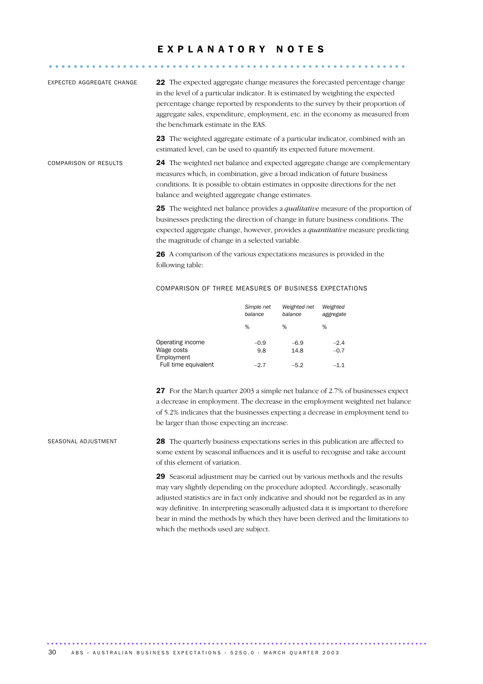## E X P L A N A T O R Y N O T E S .......................................................... ......

| EXPECTED AGGREGATE CHANGE    | <b>22</b> The expected aggregate change measures the forecasted percentage change<br>in the level of a particular indicator. It is estimated by weighting the expected<br>percentage change reported by respondents to the survey by their proportion of<br>aggregate sales, expenditure, employment, etc. in the economy as measured from<br>the benchmark estimate in the EAS. |
|------------------------------|----------------------------------------------------------------------------------------------------------------------------------------------------------------------------------------------------------------------------------------------------------------------------------------------------------------------------------------------------------------------------------|
|                              | <b>23</b> The weighted aggregate estimate of a particular indicator, combined with an<br>estimated level, can be used to quantify its expected future movement.                                                                                                                                                                                                                  |
| <b>COMPARISON OF RESULTS</b> | 24 The weighted net balance and expected aggregate change are complementary<br>measures which, in combination, give a broad indication of future business<br>conditions. It is possible to obtain estimates in opposite directions for the net<br>balance and weighted aggregate change estimates.                                                                               |
|                              | <b>25</b> The weighted net balance provides a <i>qualitative</i> measure of the proportion of                                                                                                                                                                                                                                                                                    |

businesses predicting the direction of change in future business conditions. The expected aggregate change, however, provides a *quantitative* measure predicting the magnitude of change in a selected variable.

26 A comparison of the various expectations measures is provided in the following table:

#### COMPARISON OF THREE MEASURES OF BUSINESS EXPECTATIONS

|                                              | Simple net<br>balance | Weighted net<br>balance | Weighted<br>aggregate |
|----------------------------------------------|-----------------------|-------------------------|-----------------------|
|                                              | ℅                     | ℅                       | %                     |
| Operating income<br>Wage costs<br>Employment | $-0.9$<br>9.8         | $-6.9$<br>14.8          | $-2.4$<br>$-0.7$      |
| Full time equivalent                         | $-2.7$                | $-5.2$                  | $-1.1$                |

27 For the March quarter 2003 a simple net balance of 2.7% of businesses expect a decrease in employment. The decrease in the employment weighted net balance of 5.2% indicates that the businesses expecting a decrease in employment tend to be larger than those expecting an increase.

SEASONAL ADJUSTMENT 28 The quarterly business expectations series in this publication are affected to some extent by seasonal influences and it is useful to recognise and take account of this element of variation.

> 29 Seasonal adjustment may be carried out by various methods and the results may vary slightly depending on the procedure adopted. Accordingly, seasonally adjusted statistics are in fact only indicative and should not be regarded as in any way definitive. In interpreting seasonally adjusted data it is important to therefore bear in mind the methods by which they have been derived and the limitations to which the methods used are subject.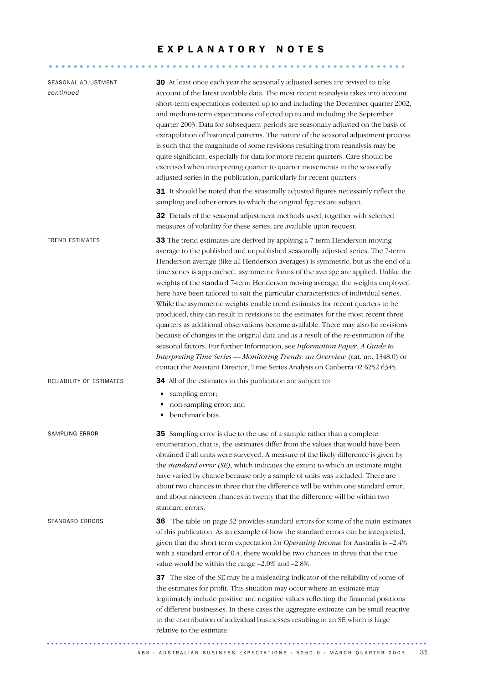### EXPLANATORY NOTES

.......................................................... ......

| SEASONAL ADJUSTMENT<br>continued | 30 At least once each year the seasonally adjusted series are revised to take<br>account of the latest available data. The most recent reanalysis takes into account<br>short-term expectations collected up to and including the December quarter 2002,<br>and medium-term expectations collected up to and including the September<br>quarter 2003. Data for subsequent periods are seasonally adjusted on the basis of<br>extrapolation of historical patterns. The nature of the seasonal adjustment process<br>is such that the magnitude of some revisions resulting from reanalysis may be<br>quite significant, especially for data for more recent quarters. Care should be<br>exercised when interpreting quarter to quarter movements in the seasonally<br>adjusted series in the publication, particularly for recent quarters.<br>31 It should be noted that the seasonally adjusted figures necessarily reflect the<br>sampling and other errors to which the original figures are subject.<br>32 Details of the seasonal adjustment methods used, together with selected                                                                                                       |
|----------------------------------|-----------------------------------------------------------------------------------------------------------------------------------------------------------------------------------------------------------------------------------------------------------------------------------------------------------------------------------------------------------------------------------------------------------------------------------------------------------------------------------------------------------------------------------------------------------------------------------------------------------------------------------------------------------------------------------------------------------------------------------------------------------------------------------------------------------------------------------------------------------------------------------------------------------------------------------------------------------------------------------------------------------------------------------------------------------------------------------------------------------------------------------------------------------------------------------------------|
| <b>TREND ESTIMATES</b>           | measures of volatility for these series, are available upon request.<br>33 The trend estimates are derived by applying a 7-term Henderson moving<br>average to the published and unpublished seasonally adjusted series. The 7-term<br>Henderson average (like all Henderson averages) is symmetric, but as the end of a<br>time series is approached, asymmetric forms of the average are applied. Unlike the<br>weights of the standard 7-term Henderson moving average, the weights employed<br>here have been tailored to suit the particular characteristics of individual series.<br>While the asymmetric weights enable trend estimates for recent quarters to be<br>produced, they can result in revisions to the estimates for the most recent three<br>quarters as additional observations become available. There may also be revisions<br>because of changes in the original data and as a result of the re-estimation of the<br>seasonal factors. For further Information, see Information Paper: A Guide to<br>Interpreting Time Series - Monitoring Trends: an Overview (cat. no. 1348.0) or<br>contact the Assistant Director, Time Series Analysis on Canberra 02 6252 6345. |
| RELIABILITY OF ESTIMATES         | <b>34</b> All of the estimates in this publication are subject to:<br>sampling error;<br>٠<br>non-sampling error; and<br>benchmark bias.<br>п                                                                                                                                                                                                                                                                                                                                                                                                                                                                                                                                                                                                                                                                                                                                                                                                                                                                                                                                                                                                                                                 |
| <b>SAMPLING ERROR</b>            | <b>35</b> Sampling error is due to the use of a sample rather than a complete<br>enumeration; that is, the estimates differ from the values that would have been<br>obtained if all units were surveyed. A measure of the likely difference is given by<br>the standard error (SE), which indicates the extent to which an estimate might<br>have varied by chance because only a sample of units was included. There are<br>about two chances in three that the difference will be within one standard error,<br>and about nineteen chances in twenty that the difference will be within two<br>standard errors.                                                                                                                                                                                                                                                                                                                                                                                                                                                                                                                                                                             |
| STANDARD ERRORS                  | 36 The table on page 32 provides standard errors for some of the main estimates<br>of this publication. As an example of how the standard errors can be interpreted,<br>given that the short term expectation for Operating Income for Australia is -2.4%<br>with a standard error of 0.4, there would be two chances in three that the true<br>value would be within the range $-2.0\%$ and $-2.8\%$ .                                                                                                                                                                                                                                                                                                                                                                                                                                                                                                                                                                                                                                                                                                                                                                                       |
|                                  | 37 The size of the SE may be a misleading indicator of the reliability of some of<br>the estimates for profit. This situation may occur where an estimate may<br>legitimately include positive and negative values reflecting the financial positions<br>of different businesses. In these cases the aggregate estimate can be small reactive<br>to the contribution of individual businesses resulting in an SE which is large<br>relative to the estimate.                                                                                                                                                                                                                                                                                                                                                                                                                                                                                                                                                                                                                                                                                                                                  |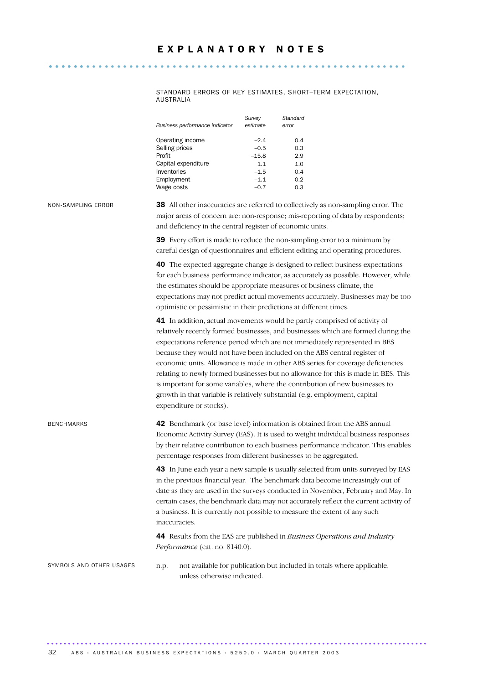STANDARD ERRORS OF KEY ESTIMATES, SHORT–TERM EXPECTATION, AUSTRALIA

| Business performance indicator | Survey<br>estimate | Standard<br>error |
|--------------------------------|--------------------|-------------------|
| Operating income               | $-2.4$             | 0.4               |
| Selling prices                 | $-0.5$             | 0.3               |
| Profit                         | $-15.8$            | 2.9               |
| Capital expenditure            | 1.1                | 1.0               |
| Inventories                    | $-1.5$             | 0.4               |
| Employment                     | $-1.1$             | 0.2               |
| Wage costs                     | $-0.7$             | 0.3               |

NON-SAMPLING ERROR 38 All other inaccuracies are referred to collectively as non-sampling error. The major areas of concern are: non-response; mis-reporting of data by respondents; and deficiency in the central register of economic units.

> 39 Every effort is made to reduce the non-sampling error to a minimum by careful design of questionnaires and efficient editing and operating procedures.

**40** The expected aggregate change is designed to reflect business expectations for each business performance indicator, as accurately as possible. However, while the estimates should be appropriate measures of business climate, the expectations may not predict actual movements accurately. Businesses may be too optimistic or pessimistic in their predictions at different times.

41 In addition, actual movements would be partly comprised of activity of relatively recently formed businesses, and businesses which are formed during the expectations reference period which are not immediately represented in BES because they would not have been included on the ABS central register of economic units. Allowance is made in other ABS series for coverage deficiencies relating to newly formed businesses but no allowance for this is made in BES. This is important for some variables, where the contribution of new businesses to growth in that variable is relatively substantial (e.g. employment, capital expenditure or stocks).

BENCHMARKS 42 Benchmark (or base level) information is obtained from the ABS annual Economic Activity Survey (EAS). It is used to weight individual business responses by their relative contribution to each business performance indicator. This enables percentage responses from different businesses to be aggregated. 43 In June each year a new sample is usually selected from units surveyed by EAS in the previous financial year. The benchmark data become increasingly out of date as they are used in the surveys conducted in November, February and May. In certain cases, the benchmark data may not accurately reflect the current activity of a business. It is currently not possible to measure the extent of any such inaccuracies. 44 Results from the EAS are published in *Business Operations and Industry Performance* (cat. no. 8140.0).

SYMBOLS AND OTHER USAGES n.p. not available for publication but included in totals where applicable, unless otherwise indicated.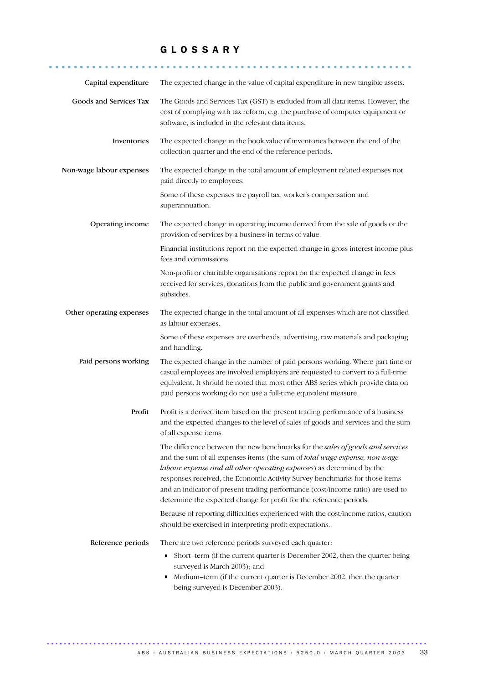### G L O S S A R Y

........................................................... ......Capital expenditure The expected change in the value of capital expenditure in new tangible assets.

| Capital expenditure      | The expected change in the value of capital expenditure in new tangible assets.                                                                                                                                                                                                                                                                                                                                                                                               |
|--------------------------|-------------------------------------------------------------------------------------------------------------------------------------------------------------------------------------------------------------------------------------------------------------------------------------------------------------------------------------------------------------------------------------------------------------------------------------------------------------------------------|
| Goods and Services Tax   | The Goods and Services Tax (GST) is excluded from all data items. However, the<br>cost of complying with tax reform, e.g. the purchase of computer equipment or<br>software, is included in the relevant data items.                                                                                                                                                                                                                                                          |
| Inventories              | The expected change in the book value of inventories between the end of the<br>collection quarter and the end of the reference periods.                                                                                                                                                                                                                                                                                                                                       |
| Non-wage labour expenses | The expected change in the total amount of employment related expenses not<br>paid directly to employees.                                                                                                                                                                                                                                                                                                                                                                     |
|                          | Some of these expenses are payroll tax, worker's compensation and<br>superannuation.                                                                                                                                                                                                                                                                                                                                                                                          |
| Operating income         | The expected change in operating income derived from the sale of goods or the<br>provision of services by a business in terms of value.                                                                                                                                                                                                                                                                                                                                       |
|                          | Financial institutions report on the expected change in gross interest income plus<br>fees and commissions.                                                                                                                                                                                                                                                                                                                                                                   |
|                          | Non-profit or charitable organisations report on the expected change in fees<br>received for services, donations from the public and government grants and<br>subsidies.                                                                                                                                                                                                                                                                                                      |
| Other operating expenses | The expected change in the total amount of all expenses which are not classified<br>as labour expenses.                                                                                                                                                                                                                                                                                                                                                                       |
|                          | Some of these expenses are overheads, advertising, raw materials and packaging<br>and handling.                                                                                                                                                                                                                                                                                                                                                                               |
| Paid persons working     | The expected change in the number of paid persons working. Where part time or<br>casual employees are involved employers are requested to convert to a full-time<br>equivalent. It should be noted that most other ABS series which provide data on<br>paid persons working do not use a full-time equivalent measure.                                                                                                                                                        |
| Profit                   | Profit is a derived item based on the present trading performance of a business<br>and the expected changes to the level of sales of goods and services and the sum<br>of all expense items.                                                                                                                                                                                                                                                                                  |
|                          | The difference between the new benchmarks for the sales of goods and services<br>and the sum of all expenses items (the sum of total wage expense, non-wage<br>labour expense and all other operating expenses) as determined by the<br>responses received, the Economic Activity Survey benchmarks for those items<br>and an indicator of present trading performance (cost/income ratio) are used to<br>determine the expected change for profit for the reference periods. |
|                          | Because of reporting difficulties experienced with the cost/income ratios, caution<br>should be exercised in interpreting profit expectations.                                                                                                                                                                                                                                                                                                                                |
| Reference periods        | There are two reference periods surveyed each quarter:<br>Short-term (if the current quarter is December 2002, then the quarter being<br>٠<br>surveyed is March 2003); and<br>Medium-term (if the current quarter is December 2002, then the quarter<br>٠<br>being surveyed is December 2003).                                                                                                                                                                                |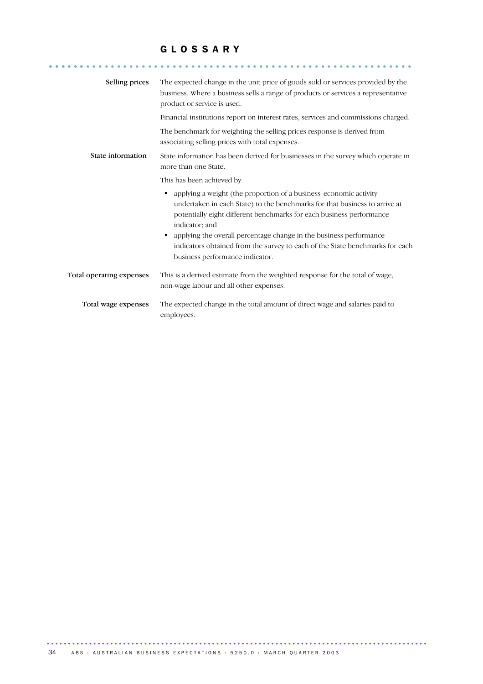### G L O S S A R Y

........................................................... ......

| Selling prices           | The expected change in the unit price of goods sold or services provided by the<br>business. Where a business sells a range of products or services a representative<br>product or service is used.                                        |
|--------------------------|--------------------------------------------------------------------------------------------------------------------------------------------------------------------------------------------------------------------------------------------|
|                          | Financial institutions report on interest rates, services and commissions charged.                                                                                                                                                         |
|                          | The benchmark for weighting the selling prices response is derived from<br>associating selling prices with total expenses.                                                                                                                 |
| State information        | State information has been derived for businesses in the survey which operate in<br>more than one State.                                                                                                                                   |
|                          | This has been achieved by                                                                                                                                                                                                                  |
|                          | applying a weight (the proportion of a business' economic activity<br>undertaken in each State) to the benchmarks for that business to arrive at<br>potentially eight different benchmarks for each business performance<br>indicator; and |
|                          | applying the overall percentage change in the business performance<br>indicators obtained from the survey to each of the State benchmarks for each<br>business performance indicator.                                                      |
| Total operating expenses | This is a derived estimate from the weighted response for the total of wage,<br>non-wage labour and all other expenses.                                                                                                                    |
| Total wage expenses      | The expected change in the total amount of direct wage and salaries paid to<br>employees.                                                                                                                                                  |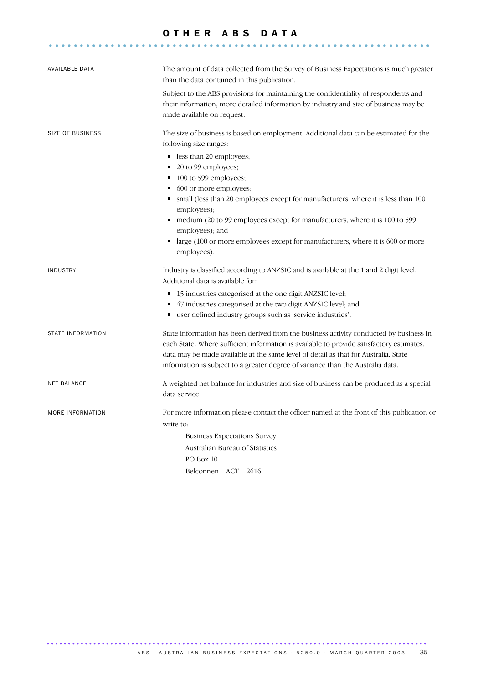#### OTHER ABS DATA

..............................................................

| AVAILABLE DATA           | The amount of data collected from the Survey of Business Expectations is much greater<br>than the data contained in this publication.                                                                                                                                                                                                                                                                                                             |
|--------------------------|---------------------------------------------------------------------------------------------------------------------------------------------------------------------------------------------------------------------------------------------------------------------------------------------------------------------------------------------------------------------------------------------------------------------------------------------------|
|                          | Subject to the ABS provisions for maintaining the confidentiality of respondents and<br>their information, more detailed information by industry and size of business may be<br>made available on request.                                                                                                                                                                                                                                        |
| <b>SIZE OF BUSINESS</b>  | The size of business is based on employment. Additional data can be estimated for the<br>following size ranges:                                                                                                                                                                                                                                                                                                                                   |
|                          | less than 20 employees;<br>$\blacksquare$<br>20 to 99 employees;<br>$\blacksquare$<br>100 to 599 employees;<br>п<br>600 or more employees;<br>٠<br>small (less than 20 employees except for manufacturers, where it is less than 100<br>employees);<br>medium (20 to 99 employees except for manufacturers, where it is 100 to 599<br>٠<br>employees); and<br>large (100 or more employees except for manufacturers, where it is 600 or more<br>٠ |
|                          | employees).                                                                                                                                                                                                                                                                                                                                                                                                                                       |
| <b>INDUSTRY</b>          | Industry is classified according to ANZSIC and is available at the 1 and 2 digit level.<br>Additional data is available for:                                                                                                                                                                                                                                                                                                                      |
|                          | 15 industries categorised at the one digit ANZSIC level;<br>٠<br>47 industries categorised at the two digit ANZSIC level; and<br>user defined industry groups such as 'service industries'.<br>٠                                                                                                                                                                                                                                                  |
| <b>STATE INFORMATION</b> | State information has been derived from the business activity conducted by business in<br>each State. Where sufficient information is available to provide satisfactory estimates,<br>data may be made available at the same level of detail as that for Australia. State<br>information is subject to a greater degree of variance than the Australia data.                                                                                      |
| <b>NET BALANCE</b>       | A weighted net balance for industries and size of business can be produced as a special<br>data service.                                                                                                                                                                                                                                                                                                                                          |
| MORE INFORMATION         | For more information please contact the officer named at the front of this publication or<br>write to:<br><b>Business Expectations Survey</b><br>Australian Bureau of Statistics<br>PO Box 10                                                                                                                                                                                                                                                     |
|                          | Belconnen ACT 2616.                                                                                                                                                                                                                                                                                                                                                                                                                               |